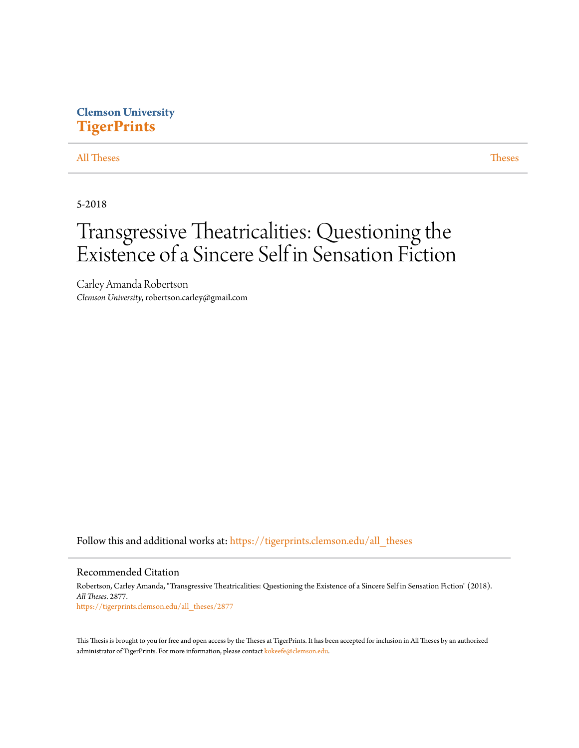### **Clemson University [TigerPrints](https://tigerprints.clemson.edu?utm_source=tigerprints.clemson.edu%2Fall_theses%2F2877&utm_medium=PDF&utm_campaign=PDFCoverPages)**

#### [All Theses](https://tigerprints.clemson.edu/all_theses?utm_source=tigerprints.clemson.edu%2Fall_theses%2F2877&utm_medium=PDF&utm_campaign=PDFCoverPages) **[Theses](https://tigerprints.clemson.edu/theses?utm_source=tigerprints.clemson.edu%2Fall_theses%2F2877&utm_medium=PDF&utm_campaign=PDFCoverPages)**

5-2018

# Transgressive Theatricalities: Questioning the Existence of a Sincere Self in Sensation Fiction

Carley Amanda Robertson *Clemson University*, robertson.carley@gmail.com

Follow this and additional works at: [https://tigerprints.clemson.edu/all\\_theses](https://tigerprints.clemson.edu/all_theses?utm_source=tigerprints.clemson.edu%2Fall_theses%2F2877&utm_medium=PDF&utm_campaign=PDFCoverPages)

#### Recommended Citation

Robertson, Carley Amanda, "Transgressive Theatricalities: Questioning the Existence of a Sincere Self in Sensation Fiction" (2018). *All Theses*. 2877. [https://tigerprints.clemson.edu/all\\_theses/2877](https://tigerprints.clemson.edu/all_theses/2877?utm_source=tigerprints.clemson.edu%2Fall_theses%2F2877&utm_medium=PDF&utm_campaign=PDFCoverPages)

This Thesis is brought to you for free and open access by the Theses at TigerPrints. It has been accepted for inclusion in All Theses by an authorized administrator of TigerPrints. For more information, please contact [kokeefe@clemson.edu](mailto:kokeefe@clemson.edu).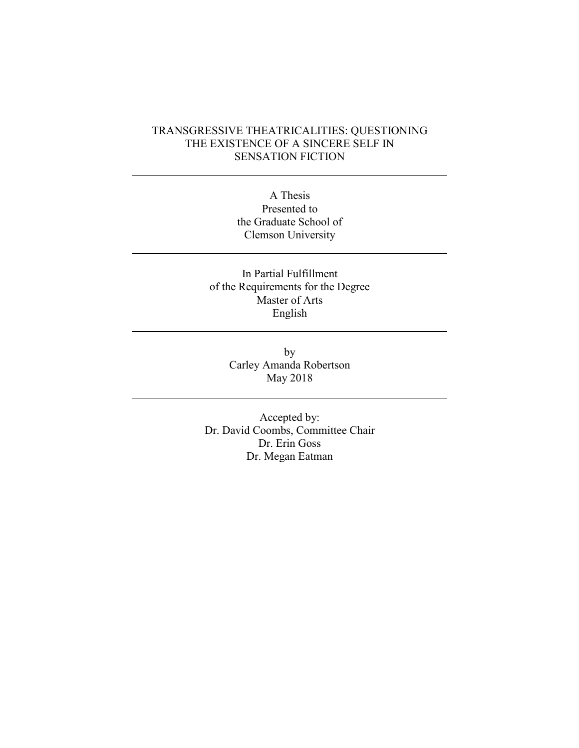### TRANSGRESSIVE THEATRICALITIES: QUESTIONING THE EXISTENCE OF A SINCERE SELF IN SENSATION FICTION

A Thesis Presented to the Graduate School of Clemson University

In Partial Fulfillment of the Requirements for the Degree Master of Arts English

> by Carley Amanda Robertson May 2018

Accepted by: Dr. David Coombs, Committee Chair Dr. Erin Goss Dr. Megan Eatman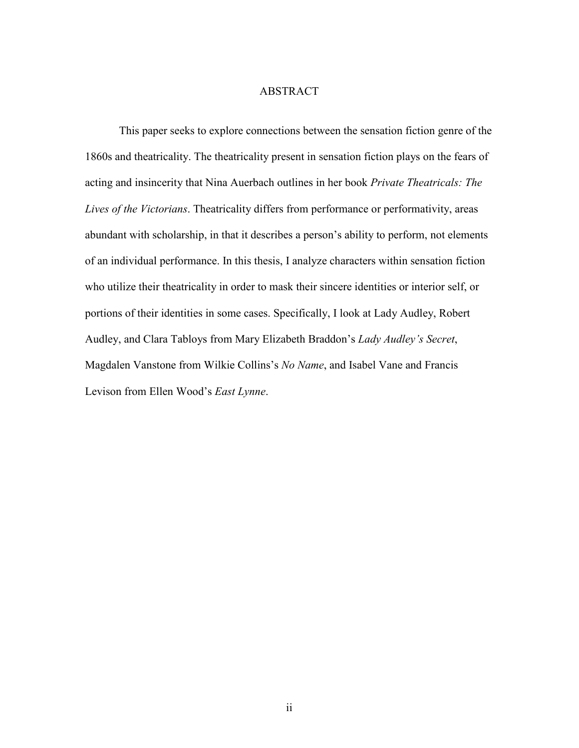#### ABSTRACT

This paper seeks to explore connections between the sensation fiction genre of the 1860s and theatricality. The theatricality present in sensation fiction plays on the fears of acting and insincerity that Nina Auerbach outlines in her book *Private Theatricals: The Lives of the Victorians*. Theatricality differs from performance or performativity, areas abundant with scholarship, in that it describes a person's ability to perform, not elements of an individual performance. In this thesis, I analyze characters within sensation fiction who utilize their theatricality in order to mask their sincere identities or interior self, or portions of their identities in some cases. Specifically, I look at Lady Audley, Robert Audley, and Clara Tabloys from Mary Elizabeth Braddon's *Lady Audley's Secret*, Magdalen Vanstone from Wilkie Collins's *No Name*, and Isabel Vane and Francis Levison from Ellen Wood's *East Lynne*.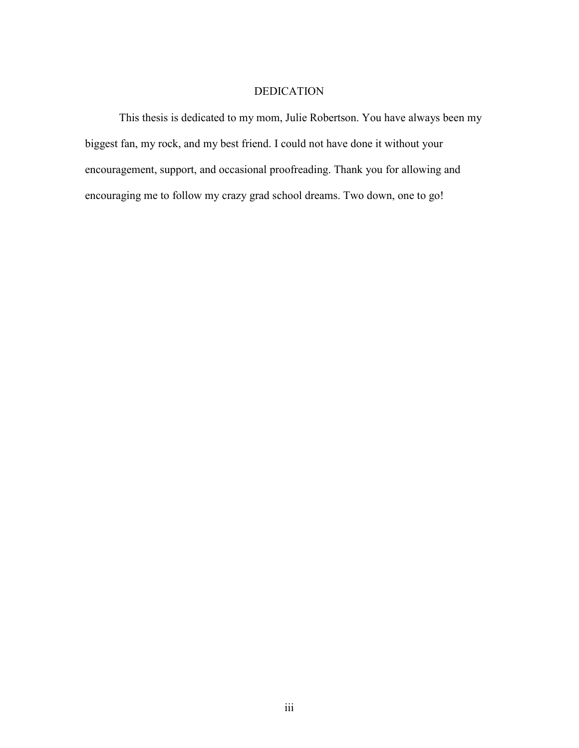### DEDICATION

This thesis is dedicated to my mom, Julie Robertson. You have always been my biggest fan, my rock, and my best friend. I could not have done it without your encouragement, support, and occasional proofreading. Thank you for allowing and encouraging me to follow my crazy grad school dreams. Two down, one to go!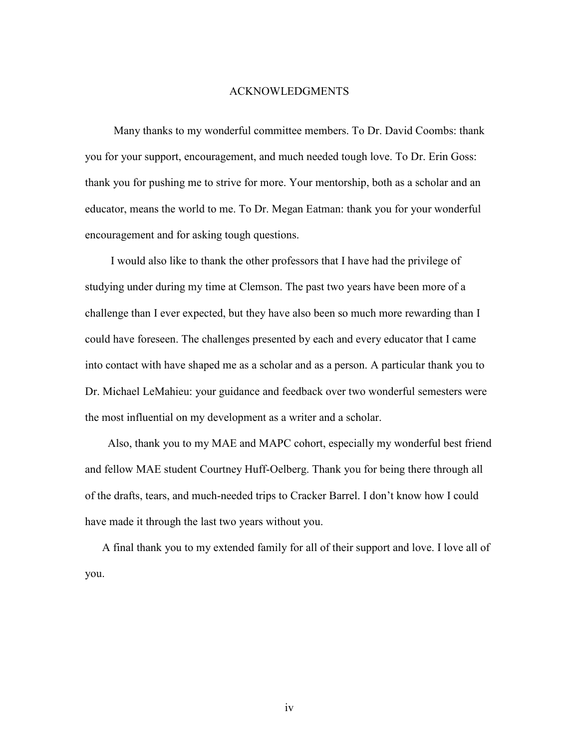#### ACKNOWLEDGMENTS

 Many thanks to my wonderful committee members. To Dr. David Coombs: thank you for your support, encouragement, and much needed tough love. To Dr. Erin Goss: thank you for pushing me to strive for more. Your mentorship, both as a scholar and an educator, means the world to me. To Dr. Megan Eatman: thank you for your wonderful encouragement and for asking tough questions.

 I would also like to thank the other professors that I have had the privilege of studying under during my time at Clemson. The past two years have been more of a challenge than I ever expected, but they have also been so much more rewarding than I could have foreseen. The challenges presented by each and every educator that I came into contact with have shaped me as a scholar and as a person. A particular thank you to Dr. Michael LeMahieu: your guidance and feedback over two wonderful semesters were the most influential on my development as a writer and a scholar.

 Also, thank you to my MAE and MAPC cohort, especially my wonderful best friend and fellow MAE student Courtney Huff-Oelberg. Thank you for being there through all of the drafts, tears, and much-needed trips to Cracker Barrel. I don't know how I could have made it through the last two years without you.

 A final thank you to my extended family for all of their support and love. I love all of you.

iv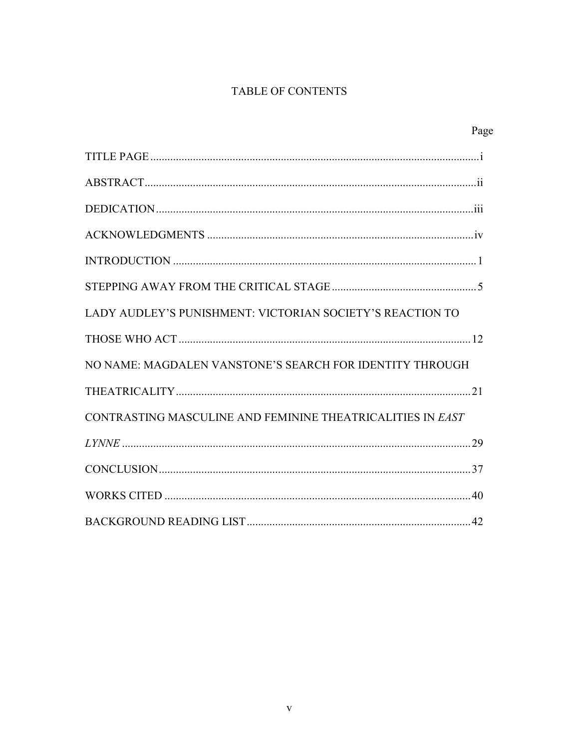## **TABLE OF CONTENTS**

|                                                            | Page |
|------------------------------------------------------------|------|
|                                                            |      |
|                                                            |      |
|                                                            |      |
|                                                            |      |
|                                                            |      |
|                                                            |      |
| LADY AUDLEY'S PUNISHMENT: VICTORIAN SOCIETY'S REACTION TO  |      |
|                                                            |      |
| NO NAME: MAGDALEN VANSTONE'S SEARCH FOR IDENTITY THROUGH   |      |
|                                                            |      |
| CONTRASTING MASCULINE AND FEMININE THEATRICALITIES IN EAST |      |
|                                                            |      |
|                                                            |      |
|                                                            |      |
|                                                            |      |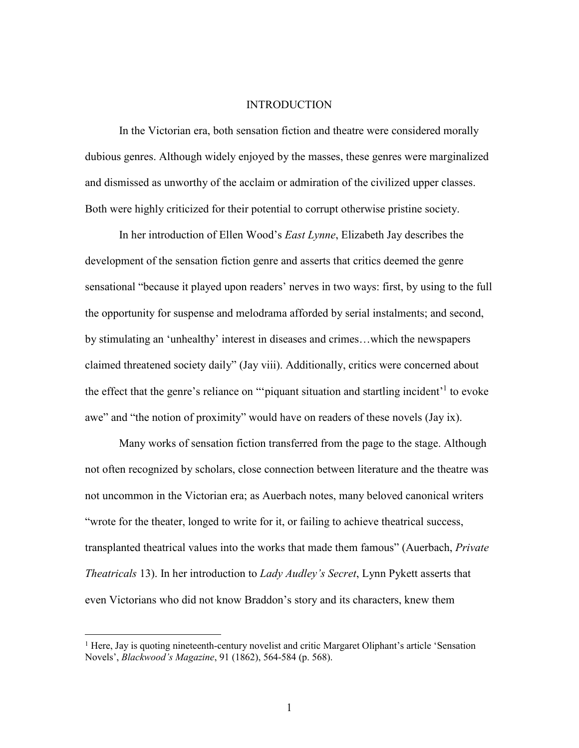#### **INTRODUCTION**

In the Victorian era, both sensation fiction and theatre were considered morally dubious genres. Although widely enjoyed by the masses, these genres were marginalized and dismissed as unworthy of the acclaim or admiration of the civilized upper classes. Both were highly criticized for their potential to corrupt otherwise pristine society.

In her introduction of Ellen Wood's *East Lynne*, Elizabeth Jay describes the development of the sensation fiction genre and asserts that critics deemed the genre sensational "because it played upon readers' nerves in two ways: first, by using to the full the opportunity for suspense and melodrama afforded by serial instalments; and second, by stimulating an 'unhealthy' interest in diseases and crimes…which the newspapers claimed threatened society daily" (Jay viii). Additionally, critics were concerned about the effect that the genre's reliance on "piquant situation and startling incident<sup>1</sup> to evoke awe" and "the notion of proximity" would have on readers of these novels (Jay ix).

Many works of sensation fiction transferred from the page to the stage. Although not often recognized by scholars, close connection between literature and the theatre was not uncommon in the Victorian era; as Auerbach notes, many beloved canonical writers "wrote for the theater, longed to write for it, or failing to achieve theatrical success, transplanted theatrical values into the works that made them famous" (Auerbach, *Private Theatricals* 13). In her introduction to *Lady Audley's Secret*, Lynn Pykett asserts that even Victorians who did not know Braddon's story and its characters, knew them

<sup>&</sup>lt;sup>1</sup> Here, Jay is quoting nineteenth-century novelist and critic Margaret Oliphant's article 'Sensation Novels', *Blackwood's Magazine*, 91 (1862), 564-584 (p. 568).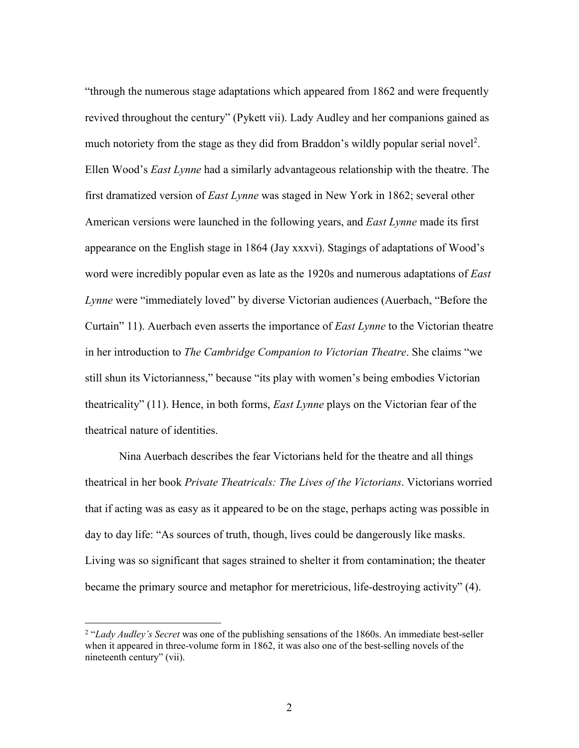"through the numerous stage adaptations which appeared from 1862 and were frequently revived throughout the century" (Pykett vii). Lady Audley and her companions gained as much notoriety from the stage as they did from Braddon's wildly popular serial novel<sup>2</sup>. Ellen Wood's *East Lynne* had a similarly advantageous relationship with the theatre. The first dramatized version of *East Lynne* was staged in New York in 1862; several other American versions were launched in the following years, and *East Lynne* made its first appearance on the English stage in 1864 (Jay xxxvi). Stagings of adaptations of Wood's word were incredibly popular even as late as the 1920s and numerous adaptations of *East Lynne* were "immediately loved" by diverse Victorian audiences (Auerbach, "Before the Curtain" 11). Auerbach even asserts the importance of *East Lynne* to the Victorian theatre in her introduction to *The Cambridge Companion to Victorian Theatre*. She claims "we still shun its Victorianness," because "its play with women's being embodies Victorian theatricality" (11). Hence, in both forms, *East Lynne* plays on the Victorian fear of the theatrical nature of identities.

Nina Auerbach describes the fear Victorians held for the theatre and all things theatrical in her book *Private Theatricals: The Lives of the Victorians*. Victorians worried that if acting was as easy as it appeared to be on the stage, perhaps acting was possible in day to day life: "As sources of truth, though, lives could be dangerously like masks. Living was so significant that sages strained to shelter it from contamination; the theater became the primary source and metaphor for meretricious, life-destroying activity" (4).

<sup>&</sup>lt;sup>2</sup> "*Lady Audley's Secret* was one of the publishing sensations of the 1860s. An immediate best-seller when it appeared in three-volume form in 1862, it was also one of the best-selling novels of the nineteenth century" (vii).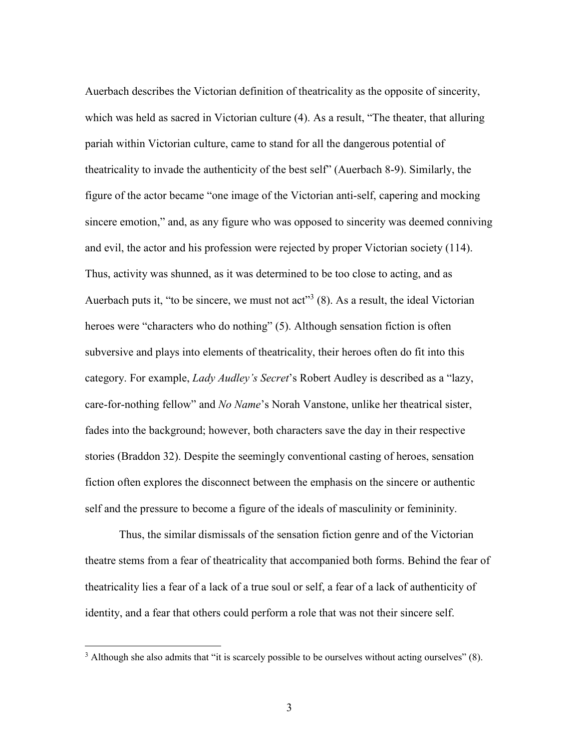Auerbach describes the Victorian definition of theatricality as the opposite of sincerity, which was held as sacred in Victorian culture (4). As a result, "The theater, that alluring pariah within Victorian culture, came to stand for all the dangerous potential of theatricality to invade the authenticity of the best self" (Auerbach 8-9). Similarly, the figure of the actor became "one image of the Victorian anti-self, capering and mocking sincere emotion," and, as any figure who was opposed to sincerity was deemed conniving and evil, the actor and his profession were rejected by proper Victorian society (114). Thus, activity was shunned, as it was determined to be too close to acting, and as Auerbach puts it, "to be sincere, we must not act"<sup>3</sup> (8). As a result, the ideal Victorian heroes were "characters who do nothing" (5). Although sensation fiction is often subversive and plays into elements of theatricality, their heroes often do fit into this category. For example, *Lady Audley's Secret*'s Robert Audley is described as a "lazy, care-for-nothing fellow" and *No Name*'s Norah Vanstone, unlike her theatrical sister, fades into the background; however, both characters save the day in their respective stories (Braddon 32). Despite the seemingly conventional casting of heroes, sensation fiction often explores the disconnect between the emphasis on the sincere or authentic self and the pressure to become a figure of the ideals of masculinity or femininity.

Thus, the similar dismissals of the sensation fiction genre and of the Victorian theatre stems from a fear of theatricality that accompanied both forms. Behind the fear of theatricality lies a fear of a lack of a true soul or self, a fear of a lack of authenticity of identity, and a fear that others could perform a role that was not their sincere self.

 $3$  Although she also admits that "it is scarcely possible to be ourselves without acting ourselves" (8).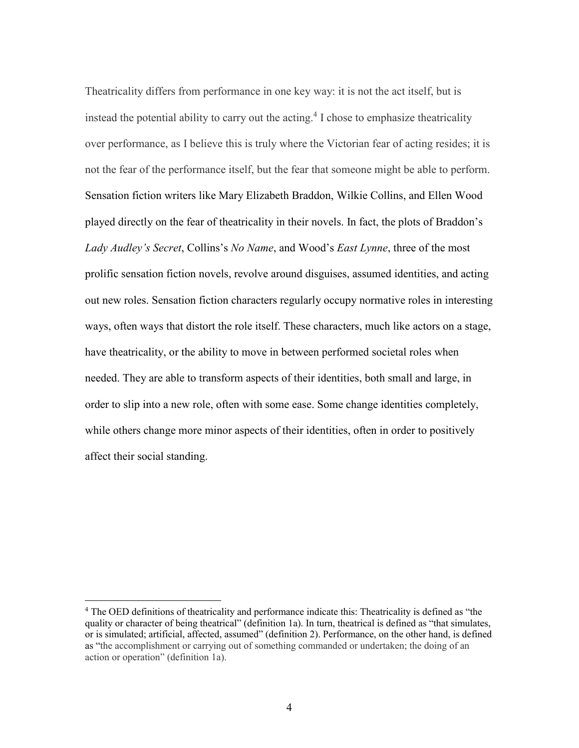Theatricality differs from performance in one key way: it is not the act itself, but is instead the potential ability to carry out the acting.<sup>4</sup> I chose to emphasize theatricality over performance, as I believe this is truly where the Victorian fear of acting resides; it is not the fear of the performance itself, but the fear that someone might be able to perform. Sensation fiction writers like Mary Elizabeth Braddon, Wilkie Collins, and Ellen Wood played directly on the fear of theatricality in their novels. In fact, the plots of Braddon's *Lady Audley's Secret*, Collins's *No Name*, and Wood's *East Lynne*, three of the most prolific sensation fiction novels, revolve around disguises, assumed identities, and acting out new roles. Sensation fiction characters regularly occupy normative roles in interesting ways, often ways that distort the role itself. These characters, much like actors on a stage, have theatricality, or the ability to move in between performed societal roles when needed. They are able to transform aspects of their identities, both small and large, in order to slip into a new role, often with some ease. Some change identities completely, while others change more minor aspects of their identities, often in order to positively affect their social standing.

<sup>&</sup>lt;sup>4</sup> The OED definitions of theatricality and performance indicate this: Theatricality is defined as "the quality or character of being theatrical" (definition 1a). In turn, theatrical is defined as "that simulates, or is simulated; artificial, affected, assumed" (definition 2). Performance, on the other hand, is defined as "the accomplishment or carrying out of something commanded or undertaken; the doing of an action or operation" (definition 1a).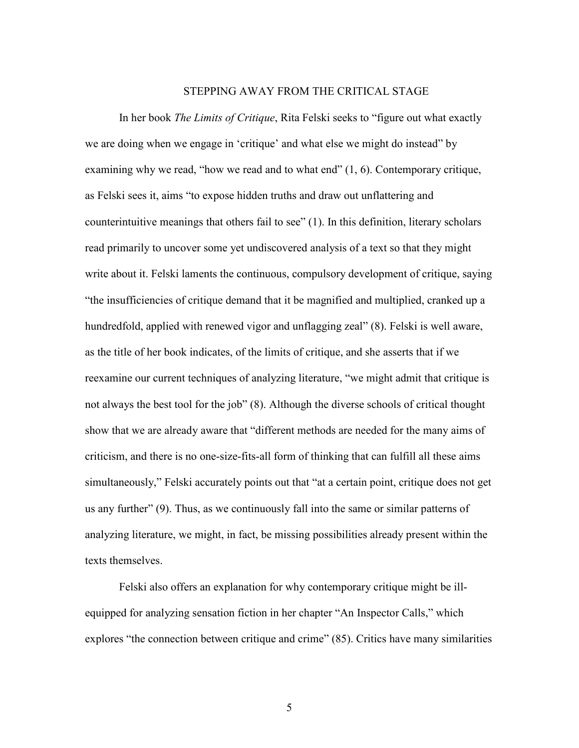#### STEPPING AWAY FROM THE CRITICAL STAGE

In her book *The Limits of Critique*, Rita Felski seeks to "figure out what exactly we are doing when we engage in 'critique' and what else we might do instead" by examining why we read, "how we read and to what end" (1, 6). Contemporary critique, as Felski sees it, aims "to expose hidden truths and draw out unflattering and counterintuitive meanings that others fail to see" (1). In this definition, literary scholars read primarily to uncover some yet undiscovered analysis of a text so that they might write about it. Felski laments the continuous, compulsory development of critique, saying "the insufficiencies of critique demand that it be magnified and multiplied, cranked up a hundredfold, applied with renewed vigor and unflagging zeal" (8). Felski is well aware, as the title of her book indicates, of the limits of critique, and she asserts that if we reexamine our current techniques of analyzing literature, "we might admit that critique is not always the best tool for the job" (8). Although the diverse schools of critical thought show that we are already aware that "different methods are needed for the many aims of criticism, and there is no one-size-fits-all form of thinking that can fulfill all these aims simultaneously," Felski accurately points out that "at a certain point, critique does not get us any further" (9). Thus, as we continuously fall into the same or similar patterns of analyzing literature, we might, in fact, be missing possibilities already present within the texts themselves.

Felski also offers an explanation for why contemporary critique might be illequipped for analyzing sensation fiction in her chapter "An Inspector Calls," which explores "the connection between critique and crime" (85). Critics have many similarities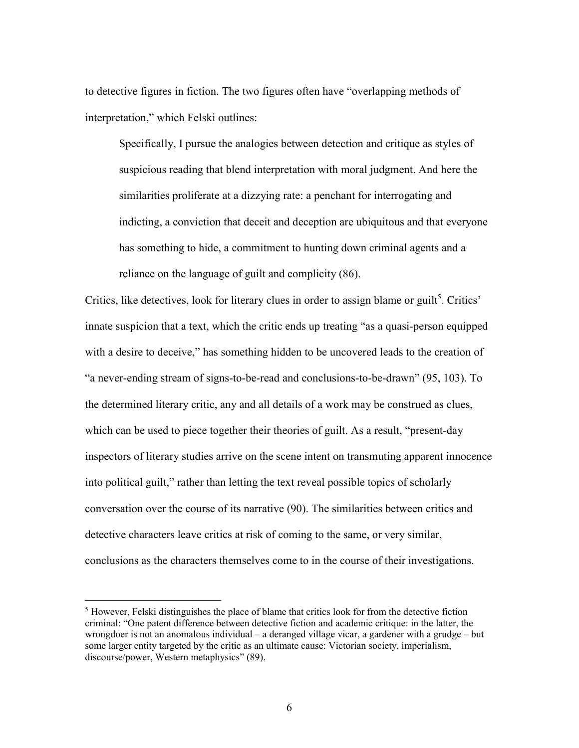to detective figures in fiction. The two figures often have "overlapping methods of interpretation," which Felski outlines:

Specifically, I pursue the analogies between detection and critique as styles of suspicious reading that blend interpretation with moral judgment. And here the similarities proliferate at a dizzying rate: a penchant for interrogating and indicting, a conviction that deceit and deception are ubiquitous and that everyone has something to hide, a commitment to hunting down criminal agents and a reliance on the language of guilt and complicity (86).

Critics, like detectives, look for literary clues in order to assign blame or guilt<sup>5</sup>. Critics' innate suspicion that a text, which the critic ends up treating "as a quasi-person equipped with a desire to deceive," has something hidden to be uncovered leads to the creation of "a never-ending stream of signs-to-be-read and conclusions-to-be-drawn" (95, 103). To the determined literary critic, any and all details of a work may be construed as clues, which can be used to piece together their theories of guilt. As a result, "present-day inspectors of literary studies arrive on the scene intent on transmuting apparent innocence into political guilt," rather than letting the text reveal possible topics of scholarly conversation over the course of its narrative (90). The similarities between critics and detective characters leave critics at risk of coming to the same, or very similar, conclusions as the characters themselves come to in the course of their investigations.

<sup>&</sup>lt;sup>5</sup> However, Felski distinguishes the place of blame that critics look for from the detective fiction criminal: "One patent difference between detective fiction and academic critique: in the latter, the wrongdoer is not an anomalous individual – a deranged village vicar, a gardener with a grudge – but some larger entity targeted by the critic as an ultimate cause: Victorian society, imperialism, discourse/power, Western metaphysics" (89).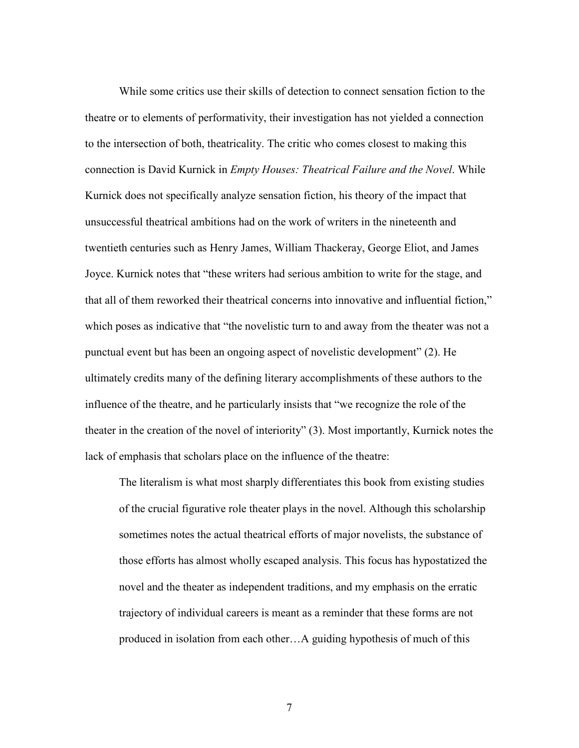While some critics use their skills of detection to connect sensation fiction to the theatre or to elements of performativity, their investigation has not yielded a connection to the intersection of both, theatricality. The critic who comes closest to making this connection is David Kurnick in *Empty Houses: Theatrical Failure and the Novel*. While Kurnick does not specifically analyze sensation fiction, his theory of the impact that unsuccessful theatrical ambitions had on the work of writers in the nineteenth and twentieth centuries such as Henry James, William Thackeray, George Eliot, and James Joyce. Kurnick notes that "these writers had serious ambition to write for the stage, and that all of them reworked their theatrical concerns into innovative and influential fiction," which poses as indicative that "the novelistic turn to and away from the theater was not a punctual event but has been an ongoing aspect of novelistic development" (2). He ultimately credits many of the defining literary accomplishments of these authors to the influence of the theatre, and he particularly insists that "we recognize the role of the theater in the creation of the novel of interiority" (3). Most importantly, Kurnick notes the lack of emphasis that scholars place on the influence of the theatre:

The literalism is what most sharply differentiates this book from existing studies of the crucial figurative role theater plays in the novel. Although this scholarship sometimes notes the actual theatrical efforts of major novelists, the substance of those efforts has almost wholly escaped analysis. This focus has hypostatized the novel and the theater as independent traditions, and my emphasis on the erratic trajectory of individual careers is meant as a reminder that these forms are not produced in isolation from each other…A guiding hypothesis of much of this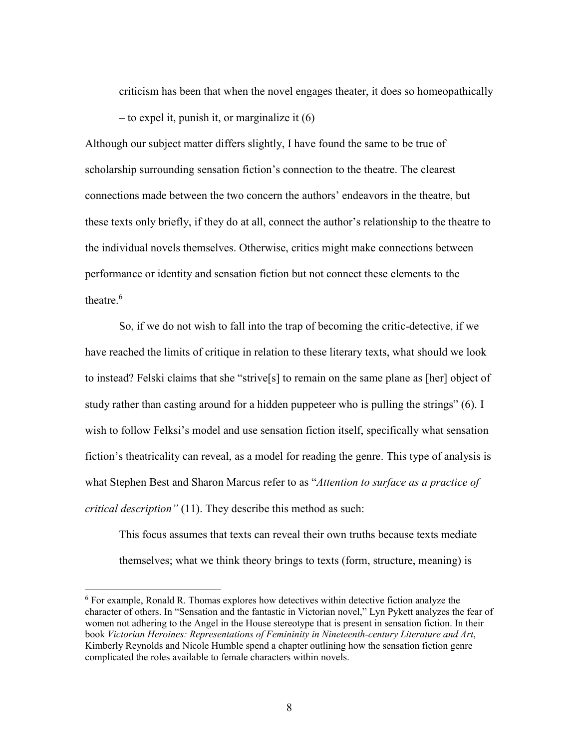criticism has been that when the novel engages theater, it does so homeopathically – to expel it, punish it, or marginalize it (6)

Although our subject matter differs slightly, I have found the same to be true of scholarship surrounding sensation fiction's connection to the theatre. The clearest connections made between the two concern the authors' endeavors in the theatre, but these texts only briefly, if they do at all, connect the author's relationship to the theatre to the individual novels themselves. Otherwise, critics might make connections between performance or identity and sensation fiction but not connect these elements to the theatre. $6$ 

So, if we do not wish to fall into the trap of becoming the critic-detective, if we have reached the limits of critique in relation to these literary texts, what should we look to instead? Felski claims that she "strive[s] to remain on the same plane as [her] object of study rather than casting around for a hidden puppeteer who is pulling the strings" (6). I wish to follow Felksi's model and use sensation fiction itself, specifically what sensation fiction's theatricality can reveal, as a model for reading the genre. This type of analysis is what Stephen Best and Sharon Marcus refer to as "*Attention to surface as a practice of critical description"* (11). They describe this method as such:

This focus assumes that texts can reveal their own truths because texts mediate themselves; what we think theory brings to texts (form, structure, meaning) is

<sup>&</sup>lt;sup>6</sup> For example, Ronald R. Thomas explores how detectives within detective fiction analyze the character of others. In "Sensation and the fantastic in Victorian novel," Lyn Pykett analyzes the fear of women not adhering to the Angel in the House stereotype that is present in sensation fiction. In their book *Victorian Heroines: Representations of Femininity in Nineteenth-century Literature and Art*, Kimberly Reynolds and Nicole Humble spend a chapter outlining how the sensation fiction genre complicated the roles available to female characters within novels.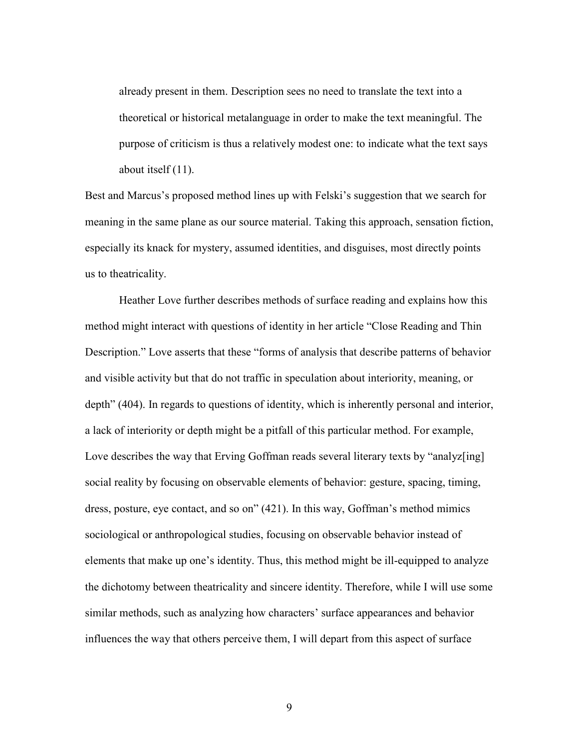already present in them. Description sees no need to translate the text into a theoretical or historical metalanguage in order to make the text meaningful. The purpose of criticism is thus a relatively modest one: to indicate what the text says about itself (11).

Best and Marcus's proposed method lines up with Felski's suggestion that we search for meaning in the same plane as our source material. Taking this approach, sensation fiction, especially its knack for mystery, assumed identities, and disguises, most directly points us to theatricality.

 Heather Love further describes methods of surface reading and explains how this method might interact with questions of identity in her article "Close Reading and Thin Description." Love asserts that these "forms of analysis that describe patterns of behavior and visible activity but that do not traffic in speculation about interiority, meaning, or depth" (404). In regards to questions of identity, which is inherently personal and interior, a lack of interiority or depth might be a pitfall of this particular method. For example, Love describes the way that Erving Goffman reads several literary texts by "analyz[ing] social reality by focusing on observable elements of behavior: gesture, spacing, timing, dress, posture, eye contact, and so on" (421). In this way, Goffman's method mimics sociological or anthropological studies, focusing on observable behavior instead of elements that make up one's identity. Thus, this method might be ill-equipped to analyze the dichotomy between theatricality and sincere identity. Therefore, while I will use some similar methods, such as analyzing how characters' surface appearances and behavior influences the way that others perceive them, I will depart from this aspect of surface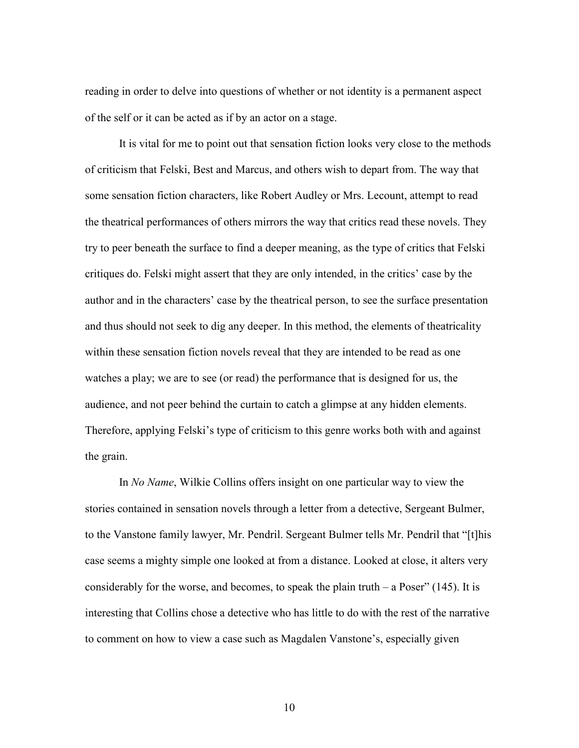reading in order to delve into questions of whether or not identity is a permanent aspect of the self or it can be acted as if by an actor on a stage.

 It is vital for me to point out that sensation fiction looks very close to the methods of criticism that Felski, Best and Marcus, and others wish to depart from. The way that some sensation fiction characters, like Robert Audley or Mrs. Lecount, attempt to read the theatrical performances of others mirrors the way that critics read these novels. They try to peer beneath the surface to find a deeper meaning, as the type of critics that Felski critiques do. Felski might assert that they are only intended, in the critics' case by the author and in the characters' case by the theatrical person, to see the surface presentation and thus should not seek to dig any deeper. In this method, the elements of theatricality within these sensation fiction novels reveal that they are intended to be read as one watches a play; we are to see (or read) the performance that is designed for us, the audience, and not peer behind the curtain to catch a glimpse at any hidden elements. Therefore, applying Felski's type of criticism to this genre works both with and against the grain.

In *No Name*, Wilkie Collins offers insight on one particular way to view the stories contained in sensation novels through a letter from a detective, Sergeant Bulmer, to the Vanstone family lawyer, Mr. Pendril. Sergeant Bulmer tells Mr. Pendril that "[t]his case seems a mighty simple one looked at from a distance. Looked at close, it alters very considerably for the worse, and becomes, to speak the plain truth  $-$  a Poser" (145). It is interesting that Collins chose a detective who has little to do with the rest of the narrative to comment on how to view a case such as Magdalen Vanstone's, especially given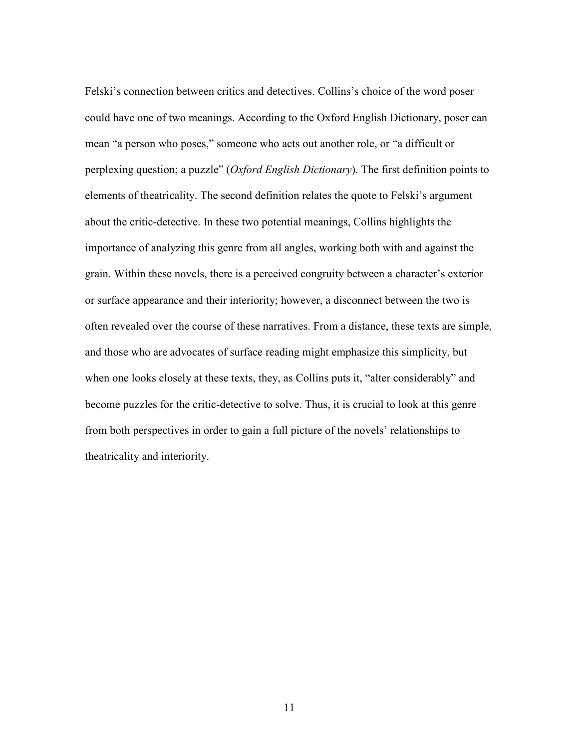Felski's connection between critics and detectives. Collins's choice of the word poser could have one of two meanings. According to the Oxford English Dictionary, poser can mean "a person who poses," someone who acts out another role, or "a difficult or perplexing question; a puzzle" (*Oxford English Dictionary*). The first definition points to elements of theatricality. The second definition relates the quote to Felski's argument about the critic-detective. In these two potential meanings, Collins highlights the importance of analyzing this genre from all angles, working both with and against the grain. Within these novels, there is a perceived congruity between a character's exterior or surface appearance and their interiority; however, a disconnect between the two is often revealed over the course of these narratives. From a distance, these texts are simple, and those who are advocates of surface reading might emphasize this simplicity, but when one looks closely at these texts, they, as Collins puts it, "alter considerably" and become puzzles for the critic-detective to solve. Thus, it is crucial to look at this genre from both perspectives in order to gain a full picture of the novels' relationships to theatricality and interiority.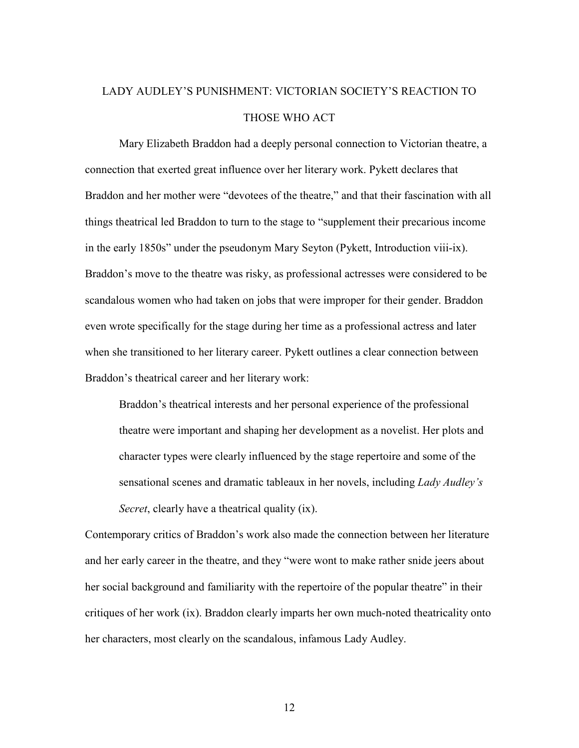# LADY AUDLEY'S PUNISHMENT: VICTORIAN SOCIETY'S REACTION TO THOSE WHO ACT

Mary Elizabeth Braddon had a deeply personal connection to Victorian theatre, a connection that exerted great influence over her literary work. Pykett declares that Braddon and her mother were "devotees of the theatre," and that their fascination with all things theatrical led Braddon to turn to the stage to "supplement their precarious income in the early 1850s" under the pseudonym Mary Seyton (Pykett, Introduction viii-ix). Braddon's move to the theatre was risky, as professional actresses were considered to be scandalous women who had taken on jobs that were improper for their gender. Braddon even wrote specifically for the stage during her time as a professional actress and later when she transitioned to her literary career. Pykett outlines a clear connection between Braddon's theatrical career and her literary work:

Braddon's theatrical interests and her personal experience of the professional theatre were important and shaping her development as a novelist. Her plots and character types were clearly influenced by the stage repertoire and some of the sensational scenes and dramatic tableaux in her novels, including *Lady Audley's Secret*, clearly have a theatrical quality (ix).

Contemporary critics of Braddon's work also made the connection between her literature and her early career in the theatre, and they "were wont to make rather snide jeers about her social background and familiarity with the repertoire of the popular theatre" in their critiques of her work (ix). Braddon clearly imparts her own much-noted theatricality onto her characters, most clearly on the scandalous, infamous Lady Audley.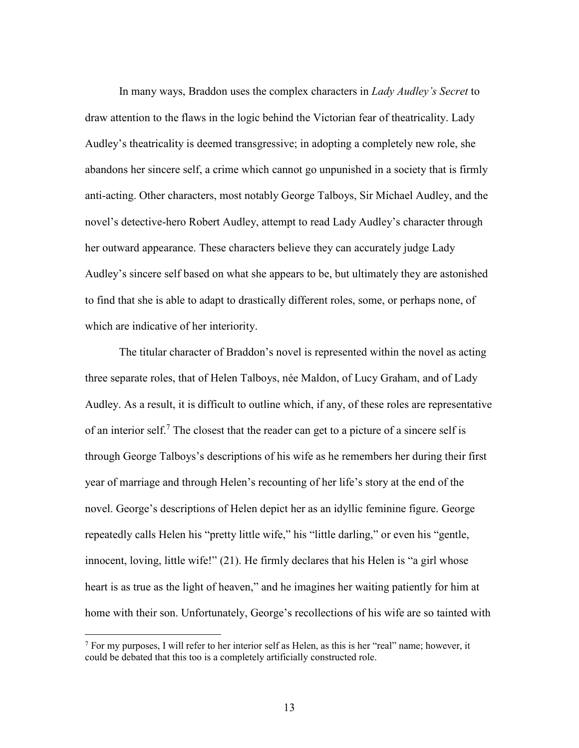In many ways, Braddon uses the complex characters in *Lady Audley's Secret* to draw attention to the flaws in the logic behind the Victorian fear of theatricality. Lady Audley's theatricality is deemed transgressive; in adopting a completely new role, she abandons her sincere self, a crime which cannot go unpunished in a society that is firmly anti-acting. Other characters, most notably George Talboys, Sir Michael Audley, and the novel's detective-hero Robert Audley, attempt to read Lady Audley's character through her outward appearance. These characters believe they can accurately judge Lady Audley's sincere self based on what she appears to be, but ultimately they are astonished to find that she is able to adapt to drastically different roles, some, or perhaps none, of which are indicative of her interiority.

 The titular character of Braddon's novel is represented within the novel as acting three separate roles, that of Helen Talboys, née Maldon, of Lucy Graham, and of Lady Audley. As a result, it is difficult to outline which, if any, of these roles are representative of an interior self.<sup>7</sup> The closest that the reader can get to a picture of a sincere self is through George Talboys's descriptions of his wife as he remembers her during their first year of marriage and through Helen's recounting of her life's story at the end of the novel. George's descriptions of Helen depict her as an idyllic feminine figure. George repeatedly calls Helen his "pretty little wife," his "little darling," or even his "gentle, innocent, loving, little wife!" (21). He firmly declares that his Helen is "a girl whose heart is as true as the light of heaven," and he imagines her waiting patiently for him at home with their son. Unfortunately, George's recollections of his wife are so tainted with

-

<sup>7</sup> For my purposes, I will refer to her interior self as Helen, as this is her "real" name; however, it could be debated that this too is a completely artificially constructed role.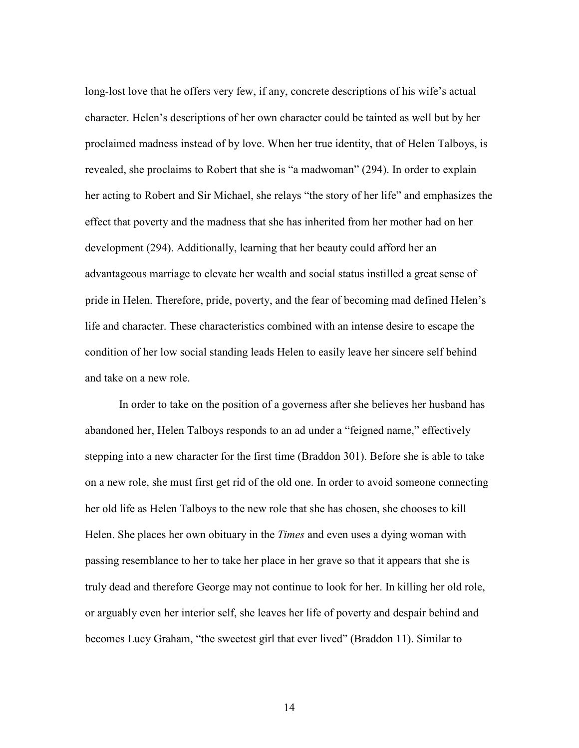long-lost love that he offers very few, if any, concrete descriptions of his wife's actual character. Helen's descriptions of her own character could be tainted as well but by her proclaimed madness instead of by love. When her true identity, that of Helen Talboys, is revealed, she proclaims to Robert that she is "a madwoman" (294). In order to explain her acting to Robert and Sir Michael, she relays "the story of her life" and emphasizes the effect that poverty and the madness that she has inherited from her mother had on her development (294). Additionally, learning that her beauty could afford her an advantageous marriage to elevate her wealth and social status instilled a great sense of pride in Helen. Therefore, pride, poverty, and the fear of becoming mad defined Helen's life and character. These characteristics combined with an intense desire to escape the condition of her low social standing leads Helen to easily leave her sincere self behind and take on a new role.

In order to take on the position of a governess after she believes her husband has abandoned her, Helen Talboys responds to an ad under a "feigned name," effectively stepping into a new character for the first time (Braddon 301). Before she is able to take on a new role, she must first get rid of the old one. In order to avoid someone connecting her old life as Helen Talboys to the new role that she has chosen, she chooses to kill Helen. She places her own obituary in the *Times* and even uses a dying woman with passing resemblance to her to take her place in her grave so that it appears that she is truly dead and therefore George may not continue to look for her. In killing her old role, or arguably even her interior self, she leaves her life of poverty and despair behind and becomes Lucy Graham, "the sweetest girl that ever lived" (Braddon 11). Similar to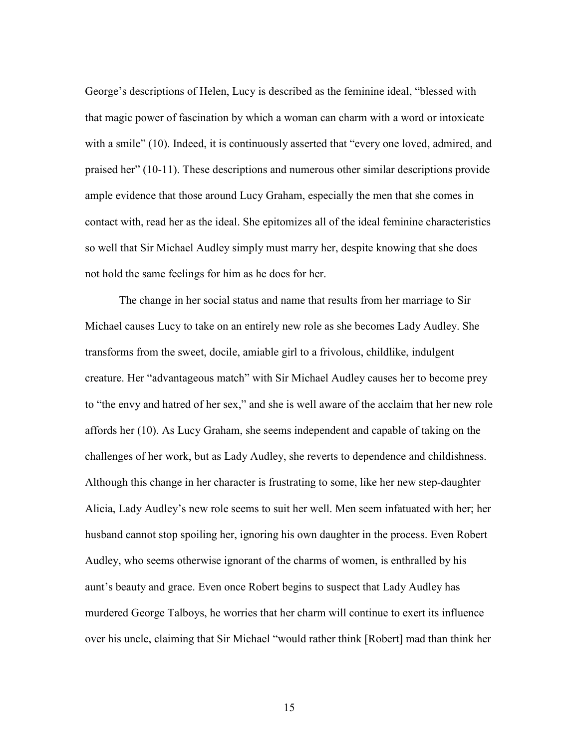George's descriptions of Helen, Lucy is described as the feminine ideal, "blessed with that magic power of fascination by which a woman can charm with a word or intoxicate with a smile" (10). Indeed, it is continuously asserted that "every one loved, admired, and praised her" (10-11). These descriptions and numerous other similar descriptions provide ample evidence that those around Lucy Graham, especially the men that she comes in contact with, read her as the ideal. She epitomizes all of the ideal feminine characteristics so well that Sir Michael Audley simply must marry her, despite knowing that she does not hold the same feelings for him as he does for her.

 The change in her social status and name that results from her marriage to Sir Michael causes Lucy to take on an entirely new role as she becomes Lady Audley. She transforms from the sweet, docile, amiable girl to a frivolous, childlike, indulgent creature. Her "advantageous match" with Sir Michael Audley causes her to become prey to "the envy and hatred of her sex," and she is well aware of the acclaim that her new role affords her (10). As Lucy Graham, she seems independent and capable of taking on the challenges of her work, but as Lady Audley, she reverts to dependence and childishness. Although this change in her character is frustrating to some, like her new step-daughter Alicia, Lady Audley's new role seems to suit her well. Men seem infatuated with her; her husband cannot stop spoiling her, ignoring his own daughter in the process. Even Robert Audley, who seems otherwise ignorant of the charms of women, is enthralled by his aunt's beauty and grace. Even once Robert begins to suspect that Lady Audley has murdered George Talboys, he worries that her charm will continue to exert its influence over his uncle, claiming that Sir Michael "would rather think [Robert] mad than think her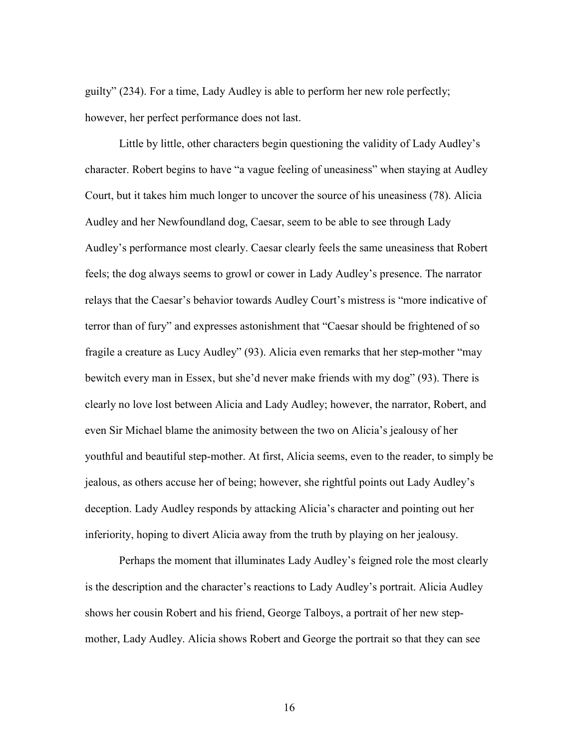guilty" (234). For a time, Lady Audley is able to perform her new role perfectly; however, her perfect performance does not last.

 Little by little, other characters begin questioning the validity of Lady Audley's character. Robert begins to have "a vague feeling of uneasiness" when staying at Audley Court, but it takes him much longer to uncover the source of his uneasiness (78). Alicia Audley and her Newfoundland dog, Caesar, seem to be able to see through Lady Audley's performance most clearly. Caesar clearly feels the same uneasiness that Robert feels; the dog always seems to growl or cower in Lady Audley's presence. The narrator relays that the Caesar's behavior towards Audley Court's mistress is "more indicative of terror than of fury" and expresses astonishment that "Caesar should be frightened of so fragile a creature as Lucy Audley" (93). Alicia even remarks that her step-mother "may bewitch every man in Essex, but she'd never make friends with my dog" (93). There is clearly no love lost between Alicia and Lady Audley; however, the narrator, Robert, and even Sir Michael blame the animosity between the two on Alicia's jealousy of her youthful and beautiful step-mother. At first, Alicia seems, even to the reader, to simply be jealous, as others accuse her of being; however, she rightful points out Lady Audley's deception. Lady Audley responds by attacking Alicia's character and pointing out her inferiority, hoping to divert Alicia away from the truth by playing on her jealousy.

Perhaps the moment that illuminates Lady Audley's feigned role the most clearly is the description and the character's reactions to Lady Audley's portrait. Alicia Audley shows her cousin Robert and his friend, George Talboys, a portrait of her new stepmother, Lady Audley. Alicia shows Robert and George the portrait so that they can see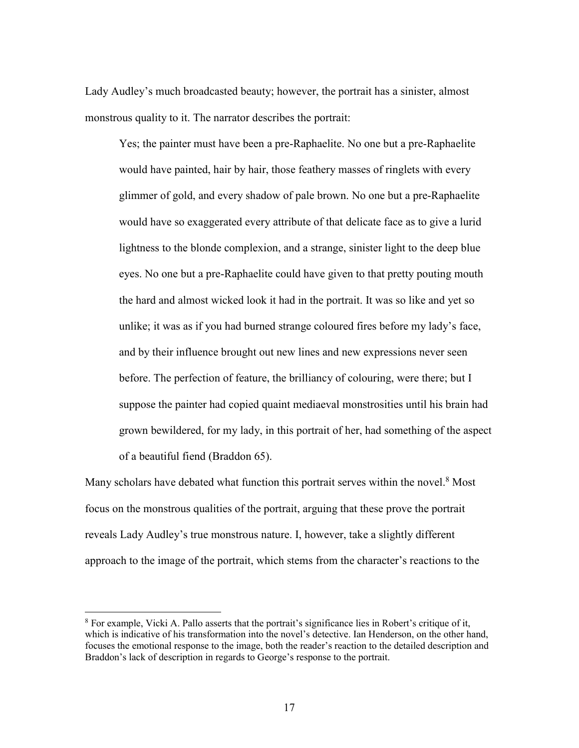Lady Audley's much broadcasted beauty; however, the portrait has a sinister, almost monstrous quality to it. The narrator describes the portrait:

Yes; the painter must have been a pre-Raphaelite. No one but a pre-Raphaelite would have painted, hair by hair, those feathery masses of ringlets with every glimmer of gold, and every shadow of pale brown. No one but a pre-Raphaelite would have so exaggerated every attribute of that delicate face as to give a lurid lightness to the blonde complexion, and a strange, sinister light to the deep blue eyes. No one but a pre-Raphaelite could have given to that pretty pouting mouth the hard and almost wicked look it had in the portrait. It was so like and yet so unlike; it was as if you had burned strange coloured fires before my lady's face, and by their influence brought out new lines and new expressions never seen before. The perfection of feature, the brilliancy of colouring, were there; but I suppose the painter had copied quaint mediaeval monstrosities until his brain had grown bewildered, for my lady, in this portrait of her, had something of the aspect of a beautiful fiend (Braddon 65).

Many scholars have debated what function this portrait serves within the novel.<sup>8</sup> Most focus on the monstrous qualities of the portrait, arguing that these prove the portrait reveals Lady Audley's true monstrous nature. I, however, take a slightly different approach to the image of the portrait, which stems from the character's reactions to the

<sup>&</sup>lt;sup>8</sup> For example, Vicki A. Pallo asserts that the portrait's significance lies in Robert's critique of it, which is indicative of his transformation into the novel's detective. Ian Henderson, on the other hand, focuses the emotional response to the image, both the reader's reaction to the detailed description and Braddon's lack of description in regards to George's response to the portrait.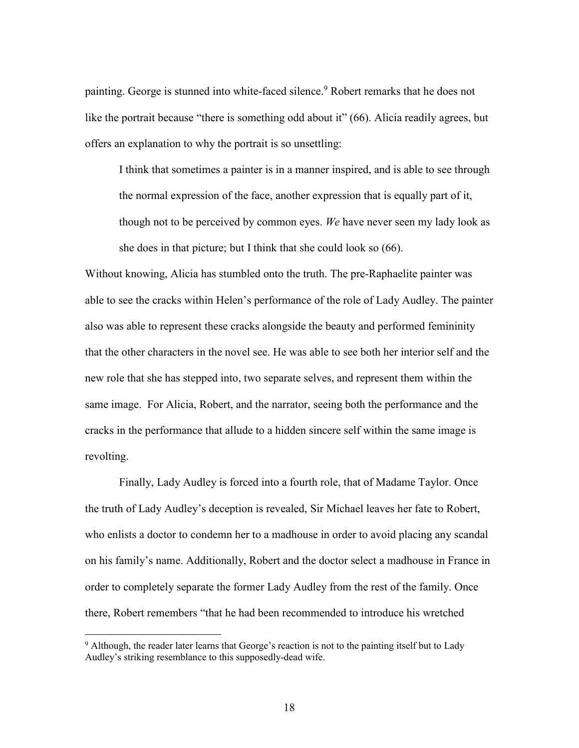painting. George is stunned into white-faced silence.<sup>9</sup> Robert remarks that he does not like the portrait because "there is something odd about it" (66). Alicia readily agrees, but offers an explanation to why the portrait is so unsettling:

I think that sometimes a painter is in a manner inspired, and is able to see through the normal expression of the face, another expression that is equally part of it, though not to be perceived by common eyes. *We* have never seen my lady look as she does in that picture; but I think that she could look so (66).

Without knowing, Alicia has stumbled onto the truth. The pre-Raphaelite painter was able to see the cracks within Helen's performance of the role of Lady Audley. The painter also was able to represent these cracks alongside the beauty and performed femininity that the other characters in the novel see. He was able to see both her interior self and the new role that she has stepped into, two separate selves, and represent them within the same image. For Alicia, Robert, and the narrator, seeing both the performance and the cracks in the performance that allude to a hidden sincere self within the same image is revolting.

 Finally, Lady Audley is forced into a fourth role, that of Madame Taylor. Once the truth of Lady Audley's deception is revealed, Sir Michael leaves her fate to Robert, who enlists a doctor to condemn her to a madhouse in order to avoid placing any scandal on his family's name. Additionally, Robert and the doctor select a madhouse in France in order to completely separate the former Lady Audley from the rest of the family. Once there, Robert remembers "that he had been recommended to introduce his wretched

<sup>&</sup>lt;sup>9</sup> Although, the reader later learns that George's reaction is not to the painting itself but to Lady Audley's striking resemblance to this supposedly-dead wife.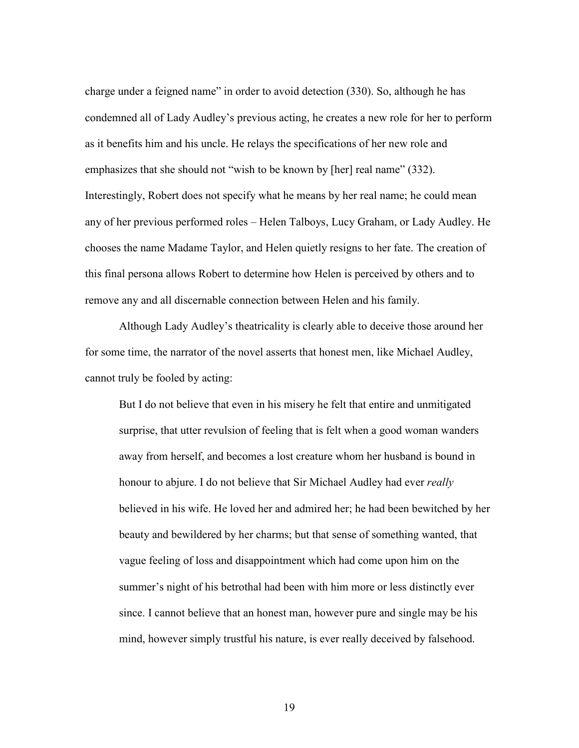charge under a feigned name" in order to avoid detection (330). So, although he has condemned all of Lady Audley's previous acting, he creates a new role for her to perform as it benefits him and his uncle. He relays the specifications of her new role and emphasizes that she should not "wish to be known by [her] real name" (332). Interestingly, Robert does not specify what he means by her real name; he could mean any of her previous performed roles – Helen Talboys, Lucy Graham, or Lady Audley. He chooses the name Madame Taylor, and Helen quietly resigns to her fate. The creation of this final persona allows Robert to determine how Helen is perceived by others and to remove any and all discernable connection between Helen and his family.

Although Lady Audley's theatricality is clearly able to deceive those around her for some time, the narrator of the novel asserts that honest men, like Michael Audley, cannot truly be fooled by acting:

But I do not believe that even in his misery he felt that entire and unmitigated surprise, that utter revulsion of feeling that is felt when a good woman wanders away from herself, and becomes a lost creature whom her husband is bound in honour to abjure. I do not believe that Sir Michael Audley had ever *really* believed in his wife. He loved her and admired her; he had been bewitched by her beauty and bewildered by her charms; but that sense of something wanted, that vague feeling of loss and disappointment which had come upon him on the summer's night of his betrothal had been with him more or less distinctly ever since. I cannot believe that an honest man, however pure and single may be his mind, however simply trustful his nature, is ever really deceived by falsehood.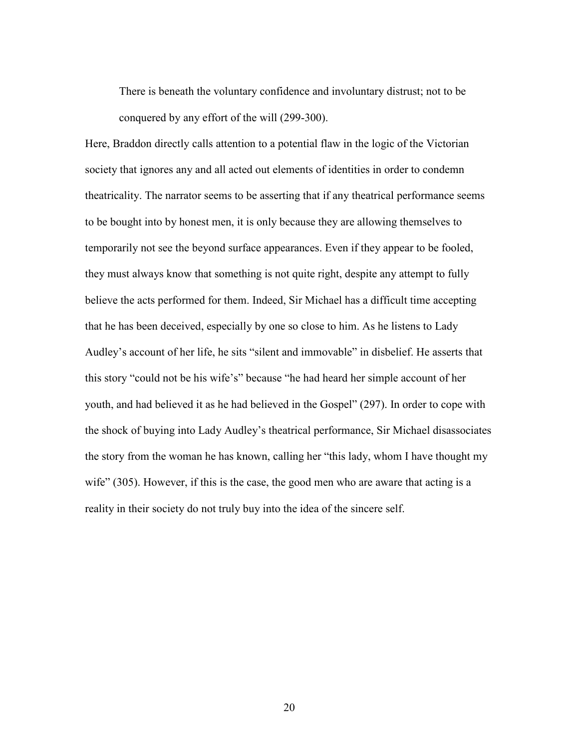There is beneath the voluntary confidence and involuntary distrust; not to be conquered by any effort of the will (299-300).

Here, Braddon directly calls attention to a potential flaw in the logic of the Victorian society that ignores any and all acted out elements of identities in order to condemn theatricality. The narrator seems to be asserting that if any theatrical performance seems to be bought into by honest men, it is only because they are allowing themselves to temporarily not see the beyond surface appearances. Even if they appear to be fooled, they must always know that something is not quite right, despite any attempt to fully believe the acts performed for them. Indeed, Sir Michael has a difficult time accepting that he has been deceived, especially by one so close to him. As he listens to Lady Audley's account of her life, he sits "silent and immovable" in disbelief. He asserts that this story "could not be his wife's" because "he had heard her simple account of her youth, and had believed it as he had believed in the Gospel" (297). In order to cope with the shock of buying into Lady Audley's theatrical performance, Sir Michael disassociates the story from the woman he has known, calling her "this lady, whom I have thought my wife" (305). However, if this is the case, the good men who are aware that acting is a reality in their society do not truly buy into the idea of the sincere self.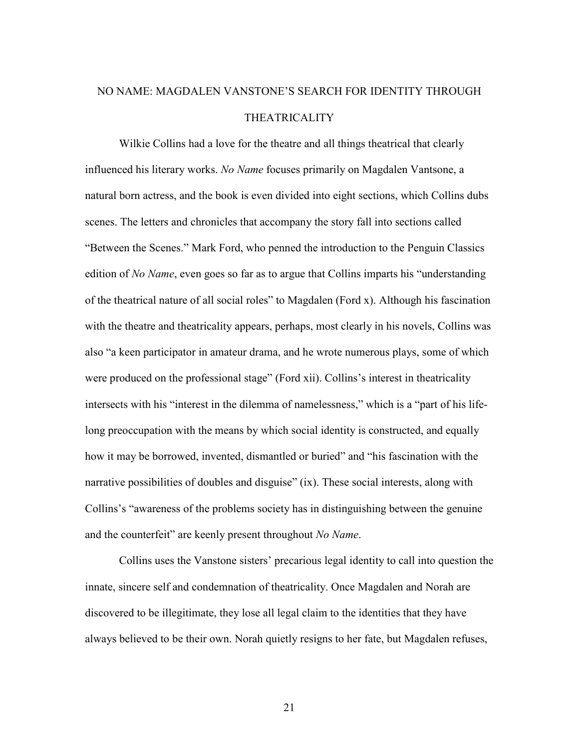# NO NAME: MAGDALEN VANSTONE'S SEARCH FOR IDENTITY THROUGH THEATRICALITY

Wilkie Collins had a love for the theatre and all things theatrical that clearly influenced his literary works. *No Name* focuses primarily on Magdalen Vantsone, a natural born actress, and the book is even divided into eight sections, which Collins dubs scenes. The letters and chronicles that accompany the story fall into sections called "Between the Scenes." Mark Ford, who penned the introduction to the Penguin Classics edition of *No Name*, even goes so far as to argue that Collins imparts his "understanding of the theatrical nature of all social roles" to Magdalen (Ford x). Although his fascination with the theatre and theatricality appears, perhaps, most clearly in his novels, Collins was also "a keen participator in amateur drama, and he wrote numerous plays, some of which were produced on the professional stage" (Ford xii). Collins's interest in theatricality intersects with his "interest in the dilemma of namelessness," which is a "part of his lifelong preoccupation with the means by which social identity is constructed, and equally how it may be borrowed, invented, dismantled or buried" and "his fascination with the narrative possibilities of doubles and disguise" (ix). These social interests, along with Collins's "awareness of the problems society has in distinguishing between the genuine and the counterfeit" are keenly present throughout *No Name*.

Collins uses the Vanstone sisters' precarious legal identity to call into question the innate, sincere self and condemnation of theatricality. Once Magdalen and Norah are discovered to be illegitimate, they lose all legal claim to the identities that they have always believed to be their own. Norah quietly resigns to her fate, but Magdalen refuses,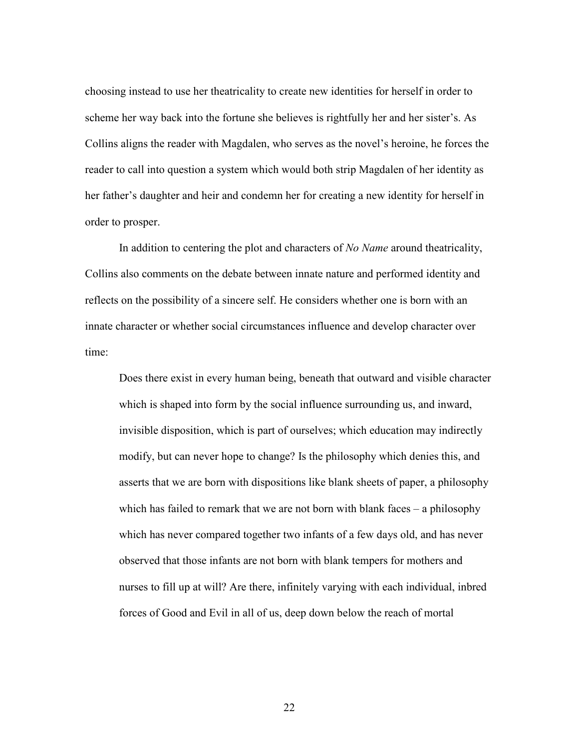choosing instead to use her theatricality to create new identities for herself in order to scheme her way back into the fortune she believes is rightfully her and her sister's. As Collins aligns the reader with Magdalen, who serves as the novel's heroine, he forces the reader to call into question a system which would both strip Magdalen of her identity as her father's daughter and heir and condemn her for creating a new identity for herself in order to prosper.

In addition to centering the plot and characters of *No Name* around theatricality, Collins also comments on the debate between innate nature and performed identity and reflects on the possibility of a sincere self. He considers whether one is born with an innate character or whether social circumstances influence and develop character over time:

Does there exist in every human being, beneath that outward and visible character which is shaped into form by the social influence surrounding us, and inward, invisible disposition, which is part of ourselves; which education may indirectly modify, but can never hope to change? Is the philosophy which denies this, and asserts that we are born with dispositions like blank sheets of paper, a philosophy which has failed to remark that we are not born with blank faces – a philosophy which has never compared together two infants of a few days old, and has never observed that those infants are not born with blank tempers for mothers and nurses to fill up at will? Are there, infinitely varying with each individual, inbred forces of Good and Evil in all of us, deep down below the reach of mortal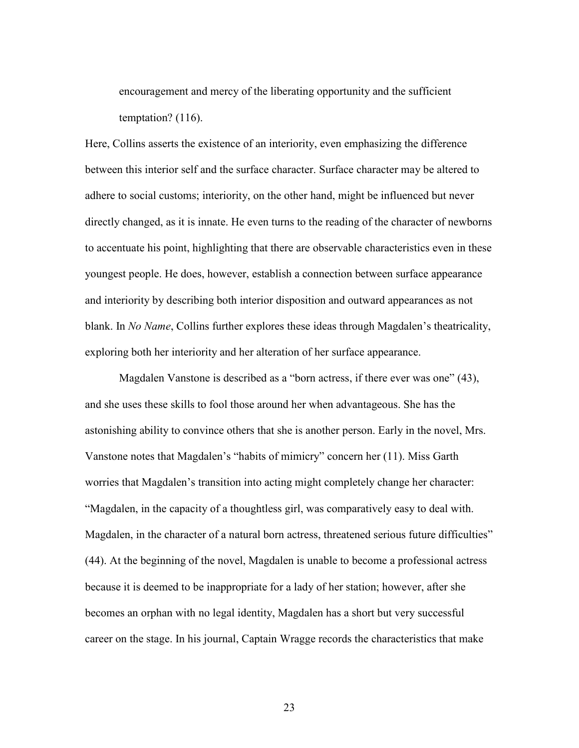encouragement and mercy of the liberating opportunity and the sufficient temptation? (116).

Here, Collins asserts the existence of an interiority, even emphasizing the difference between this interior self and the surface character. Surface character may be altered to adhere to social customs; interiority, on the other hand, might be influenced but never directly changed, as it is innate. He even turns to the reading of the character of newborns to accentuate his point, highlighting that there are observable characteristics even in these youngest people. He does, however, establish a connection between surface appearance and interiority by describing both interior disposition and outward appearances as not blank. In *No Name*, Collins further explores these ideas through Magdalen's theatricality, exploring both her interiority and her alteration of her surface appearance.

Magdalen Vanstone is described as a "born actress, if there ever was one" (43), and she uses these skills to fool those around her when advantageous. She has the astonishing ability to convince others that she is another person. Early in the novel, Mrs. Vanstone notes that Magdalen's "habits of mimicry" concern her (11). Miss Garth worries that Magdalen's transition into acting might completely change her character: "Magdalen, in the capacity of a thoughtless girl, was comparatively easy to deal with. Magdalen, in the character of a natural born actress, threatened serious future difficulties" (44). At the beginning of the novel, Magdalen is unable to become a professional actress because it is deemed to be inappropriate for a lady of her station; however, after she becomes an orphan with no legal identity, Magdalen has a short but very successful career on the stage. In his journal, Captain Wragge records the characteristics that make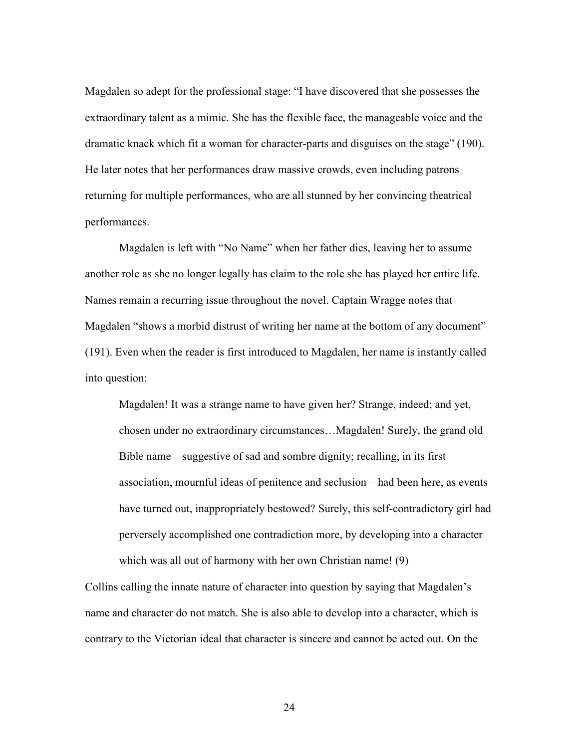Magdalen so adept for the professional stage: "I have discovered that she possesses the extraordinary talent as a mimic. She has the flexible face, the manageable voice and the dramatic knack which fit a woman for character-parts and disguises on the stage" (190). He later notes that her performances draw massive crowds, even including patrons returning for multiple performances, who are all stunned by her convincing theatrical performances.

Magdalen is left with "No Name" when her father dies, leaving her to assume another role as she no longer legally has claim to the role she has played her entire life. Names remain a recurring issue throughout the novel. Captain Wragge notes that Magdalen "shows a morbid distrust of writing her name at the bottom of any document" (191). Even when the reader is first introduced to Magdalen, her name is instantly called into question:

Magdalen! It was a strange name to have given her? Strange, indeed; and yet, chosen under no extraordinary circumstances…Magdalen! Surely, the grand old Bible name – suggestive of sad and sombre dignity; recalling, in its first association, mournful ideas of penitence and seclusion – had been here, as events have turned out, inappropriately bestowed? Surely, this self-contradictory girl had perversely accomplished one contradiction more, by developing into a character which was all out of harmony with her own Christian name! (9)

Collins calling the innate nature of character into question by saying that Magdalen's name and character do not match. She is also able to develop into a character, which is contrary to the Victorian ideal that character is sincere and cannot be acted out. On the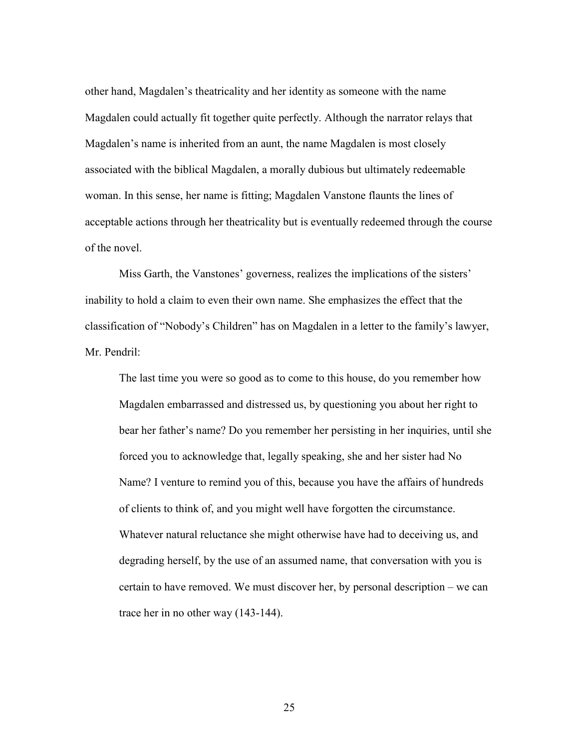other hand, Magdalen's theatricality and her identity as someone with the name Magdalen could actually fit together quite perfectly. Although the narrator relays that Magdalen's name is inherited from an aunt, the name Magdalen is most closely associated with the biblical Magdalen, a morally dubious but ultimately redeemable woman. In this sense, her name is fitting; Magdalen Vanstone flaunts the lines of acceptable actions through her theatricality but is eventually redeemed through the course of the novel.

Miss Garth, the Vanstones' governess, realizes the implications of the sisters' inability to hold a claim to even their own name. She emphasizes the effect that the classification of "Nobody's Children" has on Magdalen in a letter to the family's lawyer, Mr. Pendril:

The last time you were so good as to come to this house, do you remember how Magdalen embarrassed and distressed us, by questioning you about her right to bear her father's name? Do you remember her persisting in her inquiries, until she forced you to acknowledge that, legally speaking, she and her sister had No Name? I venture to remind you of this, because you have the affairs of hundreds of clients to think of, and you might well have forgotten the circumstance. Whatever natural reluctance she might otherwise have had to deceiving us, and degrading herself, by the use of an assumed name, that conversation with you is certain to have removed. We must discover her, by personal description – we can trace her in no other way (143-144).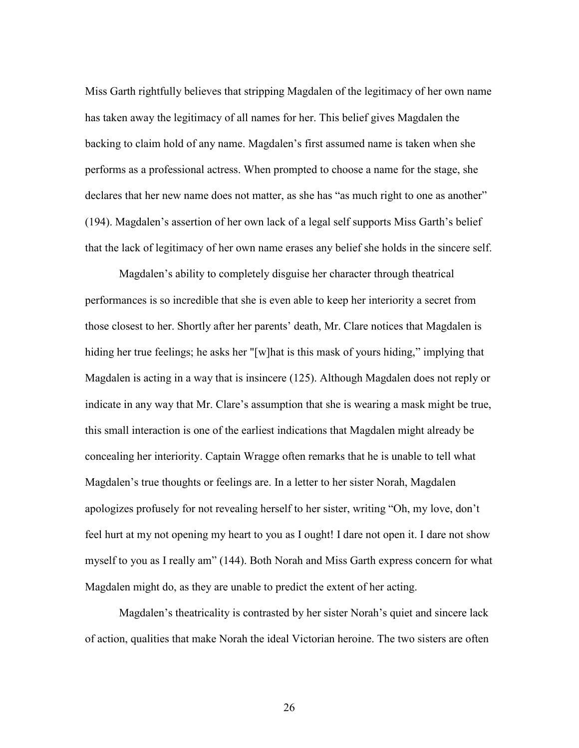Miss Garth rightfully believes that stripping Magdalen of the legitimacy of her own name has taken away the legitimacy of all names for her. This belief gives Magdalen the backing to claim hold of any name. Magdalen's first assumed name is taken when she performs as a professional actress. When prompted to choose a name for the stage, she declares that her new name does not matter, as she has "as much right to one as another" (194). Magdalen's assertion of her own lack of a legal self supports Miss Garth's belief that the lack of legitimacy of her own name erases any belief she holds in the sincere self.

Magdalen's ability to completely disguise her character through theatrical performances is so incredible that she is even able to keep her interiority a secret from those closest to her. Shortly after her parents' death, Mr. Clare notices that Magdalen is hiding her true feelings; he asks her "[w]hat is this mask of yours hiding," implying that Magdalen is acting in a way that is insincere (125). Although Magdalen does not reply or indicate in any way that Mr. Clare's assumption that she is wearing a mask might be true, this small interaction is one of the earliest indications that Magdalen might already be concealing her interiority. Captain Wragge often remarks that he is unable to tell what Magdalen's true thoughts or feelings are. In a letter to her sister Norah, Magdalen apologizes profusely for not revealing herself to her sister, writing "Oh, my love, don't feel hurt at my not opening my heart to you as I ought! I dare not open it. I dare not show myself to you as I really am" (144). Both Norah and Miss Garth express concern for what Magdalen might do, as they are unable to predict the extent of her acting.

Magdalen's theatricality is contrasted by her sister Norah's quiet and sincere lack of action, qualities that make Norah the ideal Victorian heroine. The two sisters are often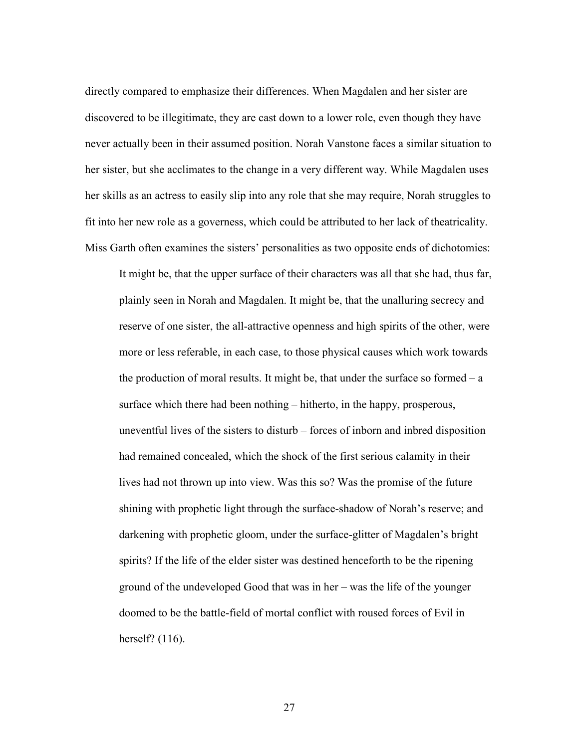directly compared to emphasize their differences. When Magdalen and her sister are discovered to be illegitimate, they are cast down to a lower role, even though they have never actually been in their assumed position. Norah Vanstone faces a similar situation to her sister, but she acclimates to the change in a very different way. While Magdalen uses her skills as an actress to easily slip into any role that she may require, Norah struggles to fit into her new role as a governess, which could be attributed to her lack of theatricality. Miss Garth often examines the sisters' personalities as two opposite ends of dichotomies:

It might be, that the upper surface of their characters was all that she had, thus far, plainly seen in Norah and Magdalen. It might be, that the unalluring secrecy and reserve of one sister, the all-attractive openness and high spirits of the other, were more or less referable, in each case, to those physical causes which work towards the production of moral results. It might be, that under the surface so formed  $-a$ surface which there had been nothing – hitherto, in the happy, prosperous, uneventful lives of the sisters to disturb – forces of inborn and inbred disposition had remained concealed, which the shock of the first serious calamity in their lives had not thrown up into view. Was this so? Was the promise of the future shining with prophetic light through the surface-shadow of Norah's reserve; and darkening with prophetic gloom, under the surface-glitter of Magdalen's bright spirits? If the life of the elder sister was destined henceforth to be the ripening ground of the undeveloped Good that was in her – was the life of the younger doomed to be the battle-field of mortal conflict with roused forces of Evil in herself? (116).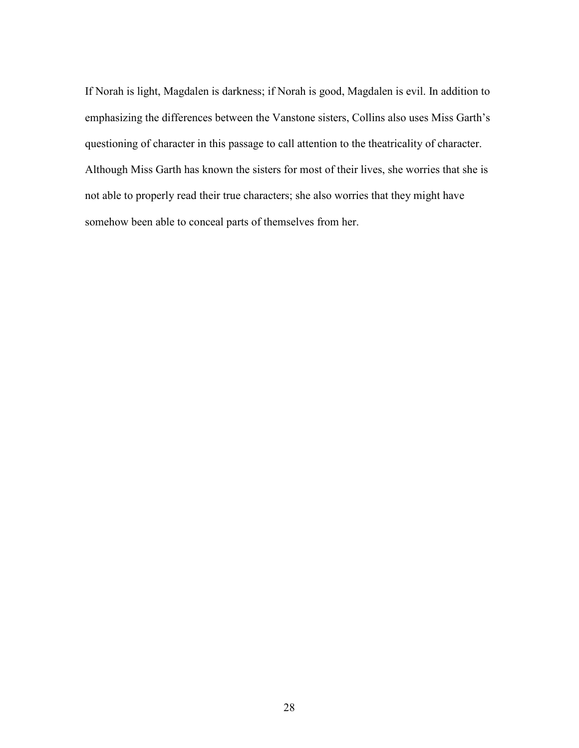If Norah is light, Magdalen is darkness; if Norah is good, Magdalen is evil. In addition to emphasizing the differences between the Vanstone sisters, Collins also uses Miss Garth's questioning of character in this passage to call attention to the theatricality of character. Although Miss Garth has known the sisters for most of their lives, she worries that she is not able to properly read their true characters; she also worries that they might have somehow been able to conceal parts of themselves from her.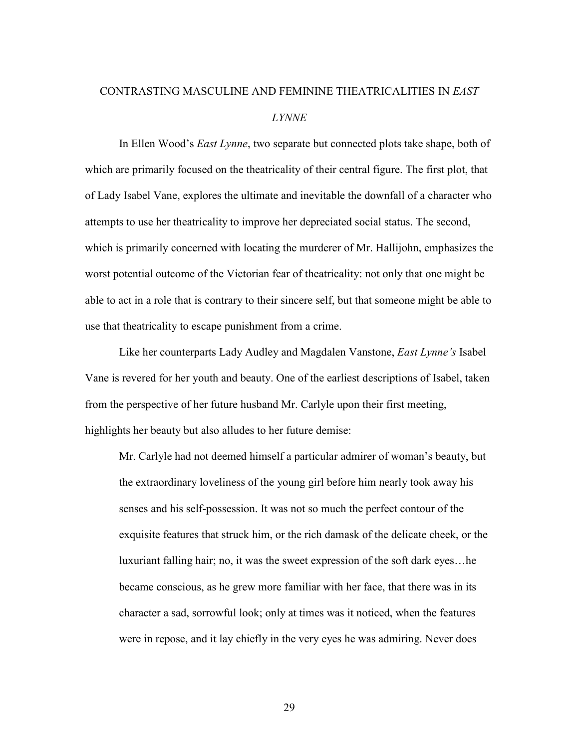# CONTRASTING MASCULINE AND FEMININE THEATRICALITIES IN *EAST LYNNE*

 In Ellen Wood's *East Lynne*, two separate but connected plots take shape, both of which are primarily focused on the theatricality of their central figure. The first plot, that of Lady Isabel Vane, explores the ultimate and inevitable the downfall of a character who attempts to use her theatricality to improve her depreciated social status. The second, which is primarily concerned with locating the murderer of Mr. Hallijohn, emphasizes the worst potential outcome of the Victorian fear of theatricality: not only that one might be able to act in a role that is contrary to their sincere self, but that someone might be able to use that theatricality to escape punishment from a crime.

Like her counterparts Lady Audley and Magdalen Vanstone, *East Lynne's* Isabel Vane is revered for her youth and beauty. One of the earliest descriptions of Isabel, taken from the perspective of her future husband Mr. Carlyle upon their first meeting, highlights her beauty but also alludes to her future demise:

Mr. Carlyle had not deemed himself a particular admirer of woman's beauty, but the extraordinary loveliness of the young girl before him nearly took away his senses and his self-possession. It was not so much the perfect contour of the exquisite features that struck him, or the rich damask of the delicate cheek, or the luxuriant falling hair; no, it was the sweet expression of the soft dark eyes…he became conscious, as he grew more familiar with her face, that there was in its character a sad, sorrowful look; only at times was it noticed, when the features were in repose, and it lay chiefly in the very eyes he was admiring. Never does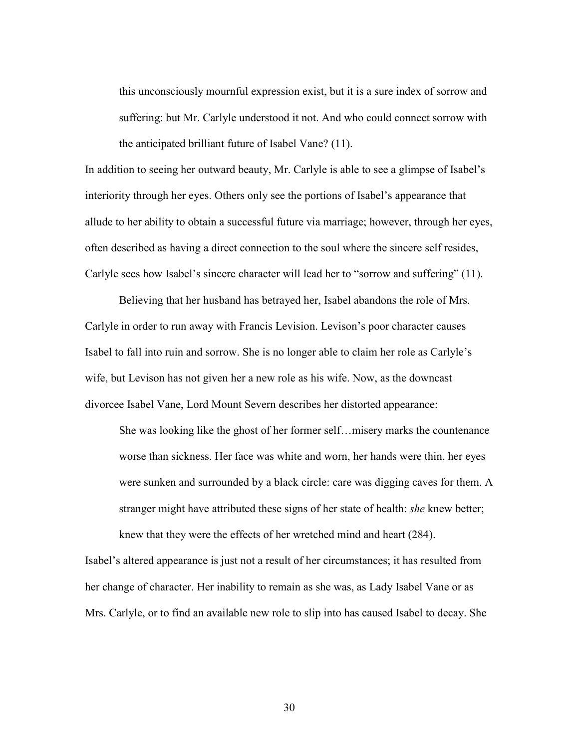this unconsciously mournful expression exist, but it is a sure index of sorrow and suffering: but Mr. Carlyle understood it not. And who could connect sorrow with the anticipated brilliant future of Isabel Vane? (11).

In addition to seeing her outward beauty, Mr. Carlyle is able to see a glimpse of Isabel's interiority through her eyes. Others only see the portions of Isabel's appearance that allude to her ability to obtain a successful future via marriage; however, through her eyes, often described as having a direct connection to the soul where the sincere self resides, Carlyle sees how Isabel's sincere character will lead her to "sorrow and suffering" (11).

 Believing that her husband has betrayed her, Isabel abandons the role of Mrs. Carlyle in order to run away with Francis Levision. Levison's poor character causes Isabel to fall into ruin and sorrow. She is no longer able to claim her role as Carlyle's wife, but Levison has not given her a new role as his wife. Now, as the downcast divorcee Isabel Vane, Lord Mount Severn describes her distorted appearance:

She was looking like the ghost of her former self…misery marks the countenance worse than sickness. Her face was white and worn, her hands were thin, her eyes were sunken and surrounded by a black circle: care was digging caves for them. A stranger might have attributed these signs of her state of health: *she* knew better; knew that they were the effects of her wretched mind and heart (284).

Isabel's altered appearance is just not a result of her circumstances; it has resulted from her change of character. Her inability to remain as she was, as Lady Isabel Vane or as Mrs. Carlyle, or to find an available new role to slip into has caused Isabel to decay. She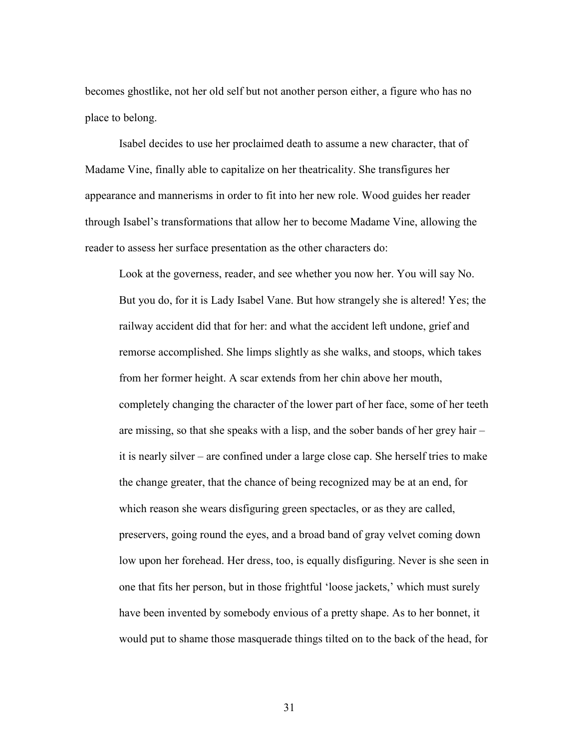becomes ghostlike, not her old self but not another person either, a figure who has no place to belong.

 Isabel decides to use her proclaimed death to assume a new character, that of Madame Vine, finally able to capitalize on her theatricality. She transfigures her appearance and mannerisms in order to fit into her new role. Wood guides her reader through Isabel's transformations that allow her to become Madame Vine, allowing the reader to assess her surface presentation as the other characters do:

Look at the governess, reader, and see whether you now her. You will say No. But you do, for it is Lady Isabel Vane. But how strangely she is altered! Yes; the railway accident did that for her: and what the accident left undone, grief and remorse accomplished. She limps slightly as she walks, and stoops, which takes from her former height. A scar extends from her chin above her mouth, completely changing the character of the lower part of her face, some of her teeth are missing, so that she speaks with a lisp, and the sober bands of her grey hair – it is nearly silver – are confined under a large close cap. She herself tries to make the change greater, that the chance of being recognized may be at an end, for which reason she wears disfiguring green spectacles, or as they are called, preservers, going round the eyes, and a broad band of gray velvet coming down low upon her forehead. Her dress, too, is equally disfiguring. Never is she seen in one that fits her person, but in those frightful 'loose jackets,' which must surely have been invented by somebody envious of a pretty shape. As to her bonnet, it would put to shame those masquerade things tilted on to the back of the head, for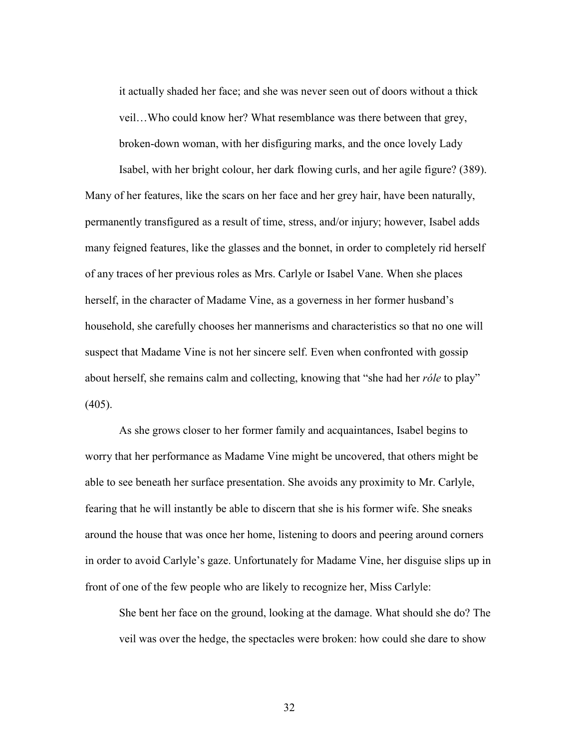it actually shaded her face; and she was never seen out of doors without a thick veil…Who could know her? What resemblance was there between that grey, broken-down woman, with her disfiguring marks, and the once lovely Lady

Isabel, with her bright colour, her dark flowing curls, and her agile figure? (389). Many of her features, like the scars on her face and her grey hair, have been naturally, permanently transfigured as a result of time, stress, and/or injury; however, Isabel adds many feigned features, like the glasses and the bonnet, in order to completely rid herself of any traces of her previous roles as Mrs. Carlyle or Isabel Vane. When she places herself, in the character of Madame Vine, as a governess in her former husband's household, she carefully chooses her mannerisms and characteristics so that no one will suspect that Madame Vine is not her sincere self. Even when confronted with gossip about herself, she remains calm and collecting, knowing that "she had her *róle* to play"  $(405)$ .

 As she grows closer to her former family and acquaintances, Isabel begins to worry that her performance as Madame Vine might be uncovered, that others might be able to see beneath her surface presentation. She avoids any proximity to Mr. Carlyle, fearing that he will instantly be able to discern that she is his former wife. She sneaks around the house that was once her home, listening to doors and peering around corners in order to avoid Carlyle's gaze. Unfortunately for Madame Vine, her disguise slips up in front of one of the few people who are likely to recognize her, Miss Carlyle:

She bent her face on the ground, looking at the damage. What should she do? The veil was over the hedge, the spectacles were broken: how could she dare to show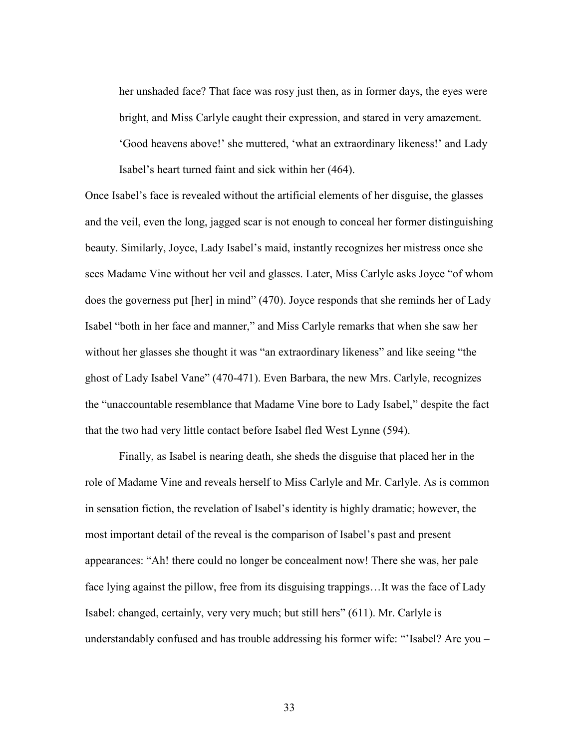her unshaded face? That face was rosy just then, as in former days, the eyes were bright, and Miss Carlyle caught their expression, and stared in very amazement. 'Good heavens above!' she muttered, 'what an extraordinary likeness!' and Lady Isabel's heart turned faint and sick within her (464).

Once Isabel's face is revealed without the artificial elements of her disguise, the glasses and the veil, even the long, jagged scar is not enough to conceal her former distinguishing beauty. Similarly, Joyce, Lady Isabel's maid, instantly recognizes her mistress once she sees Madame Vine without her veil and glasses. Later, Miss Carlyle asks Joyce "of whom does the governess put [her] in mind" (470). Joyce responds that she reminds her of Lady Isabel "both in her face and manner," and Miss Carlyle remarks that when she saw her without her glasses she thought it was "an extraordinary likeness" and like seeing "the ghost of Lady Isabel Vane" (470-471). Even Barbara, the new Mrs. Carlyle, recognizes the "unaccountable resemblance that Madame Vine bore to Lady Isabel," despite the fact that the two had very little contact before Isabel fled West Lynne (594).

 Finally, as Isabel is nearing death, she sheds the disguise that placed her in the role of Madame Vine and reveals herself to Miss Carlyle and Mr. Carlyle. As is common in sensation fiction, the revelation of Isabel's identity is highly dramatic; however, the most important detail of the reveal is the comparison of Isabel's past and present appearances: "Ah! there could no longer be concealment now! There she was, her pale face lying against the pillow, free from its disguising trappings...It was the face of Lady Isabel: changed, certainly, very very much; but still hers" (611). Mr. Carlyle is understandably confused and has trouble addressing his former wife: "'Isabel? Are you –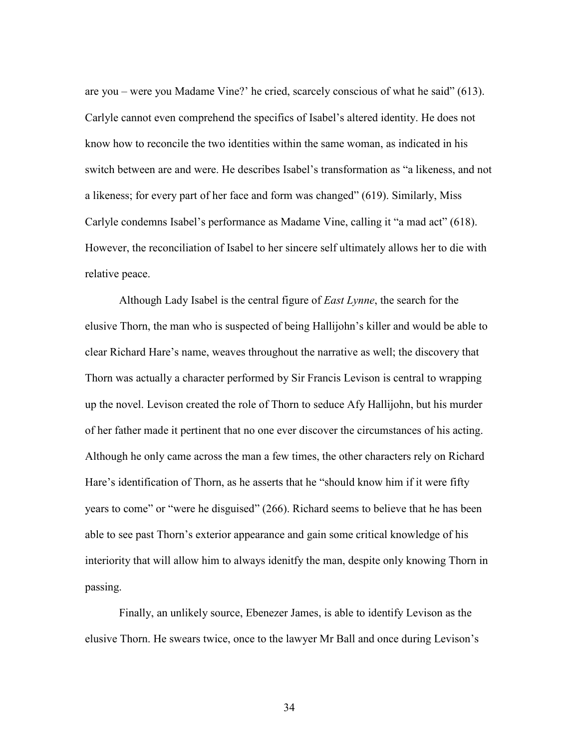are you – were you Madame Vine?' he cried, scarcely conscious of what he said" (613). Carlyle cannot even comprehend the specifics of Isabel's altered identity. He does not know how to reconcile the two identities within the same woman, as indicated in his switch between are and were. He describes Isabel's transformation as "a likeness, and not a likeness; for every part of her face and form was changed" (619). Similarly, Miss Carlyle condemns Isabel's performance as Madame Vine, calling it "a mad act" (618). However, the reconciliation of Isabel to her sincere self ultimately allows her to die with relative peace.

Although Lady Isabel is the central figure of *East Lynne*, the search for the elusive Thorn, the man who is suspected of being Hallijohn's killer and would be able to clear Richard Hare's name, weaves throughout the narrative as well; the discovery that Thorn was actually a character performed by Sir Francis Levison is central to wrapping up the novel. Levison created the role of Thorn to seduce Afy Hallijohn, but his murder of her father made it pertinent that no one ever discover the circumstances of his acting. Although he only came across the man a few times, the other characters rely on Richard Hare's identification of Thorn, as he asserts that he "should know him if it were fifty years to come" or "were he disguised" (266). Richard seems to believe that he has been able to see past Thorn's exterior appearance and gain some critical knowledge of his interiority that will allow him to always idenitfy the man, despite only knowing Thorn in passing.

Finally, an unlikely source, Ebenezer James, is able to identify Levison as the elusive Thorn. He swears twice, once to the lawyer Mr Ball and once during Levison's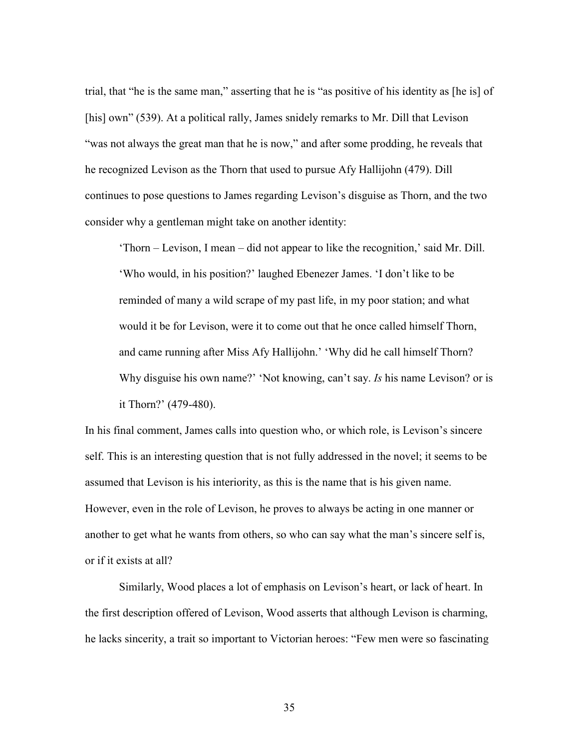trial, that "he is the same man," asserting that he is "as positive of his identity as [he is] of [his] own" (539). At a political rally, James snidely remarks to Mr. Dill that Levison "was not always the great man that he is now," and after some prodding, he reveals that he recognized Levison as the Thorn that used to pursue Afy Hallijohn (479). Dill continues to pose questions to James regarding Levison's disguise as Thorn, and the two consider why a gentleman might take on another identity:

'Thorn – Levison, I mean – did not appear to like the recognition,' said Mr. Dill. 'Who would, in his position?' laughed Ebenezer James. 'I don't like to be reminded of many a wild scrape of my past life, in my poor station; and what would it be for Levison, were it to come out that he once called himself Thorn, and came running after Miss Afy Hallijohn.' 'Why did he call himself Thorn? Why disguise his own name?' 'Not knowing, can't say. *Is* his name Levison? or is it Thorn?' (479-480).

In his final comment, James calls into question who, or which role, is Levison's sincere self. This is an interesting question that is not fully addressed in the novel; it seems to be assumed that Levison is his interiority, as this is the name that is his given name. However, even in the role of Levison, he proves to always be acting in one manner or another to get what he wants from others, so who can say what the man's sincere self is, or if it exists at all?

Similarly, Wood places a lot of emphasis on Levison's heart, or lack of heart. In the first description offered of Levison, Wood asserts that although Levison is charming, he lacks sincerity, a trait so important to Victorian heroes: "Few men were so fascinating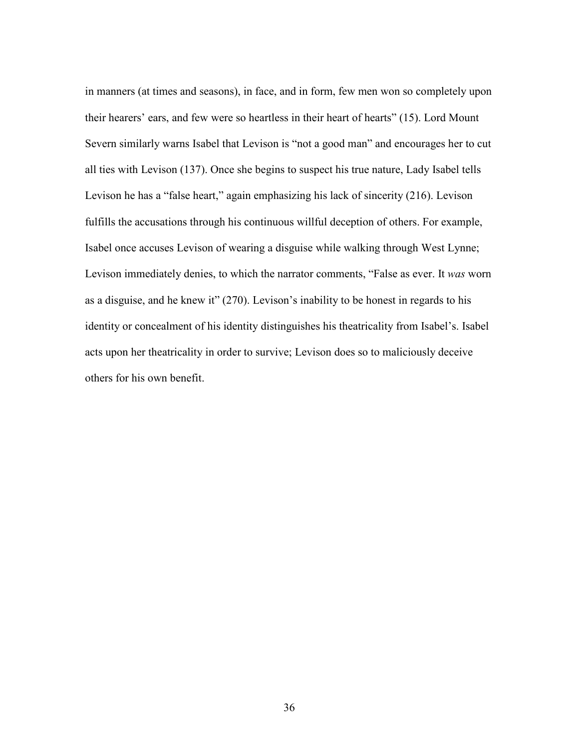in manners (at times and seasons), in face, and in form, few men won so completely upon their hearers' ears, and few were so heartless in their heart of hearts" (15). Lord Mount Severn similarly warns Isabel that Levison is "not a good man" and encourages her to cut all ties with Levison (137). Once she begins to suspect his true nature, Lady Isabel tells Levison he has a "false heart," again emphasizing his lack of sincerity (216). Levison fulfills the accusations through his continuous willful deception of others. For example, Isabel once accuses Levison of wearing a disguise while walking through West Lynne; Levison immediately denies, to which the narrator comments, "False as ever. It *was* worn as a disguise, and he knew it" (270). Levison's inability to be honest in regards to his identity or concealment of his identity distinguishes his theatricality from Isabel's. Isabel acts upon her theatricality in order to survive; Levison does so to maliciously deceive others for his own benefit.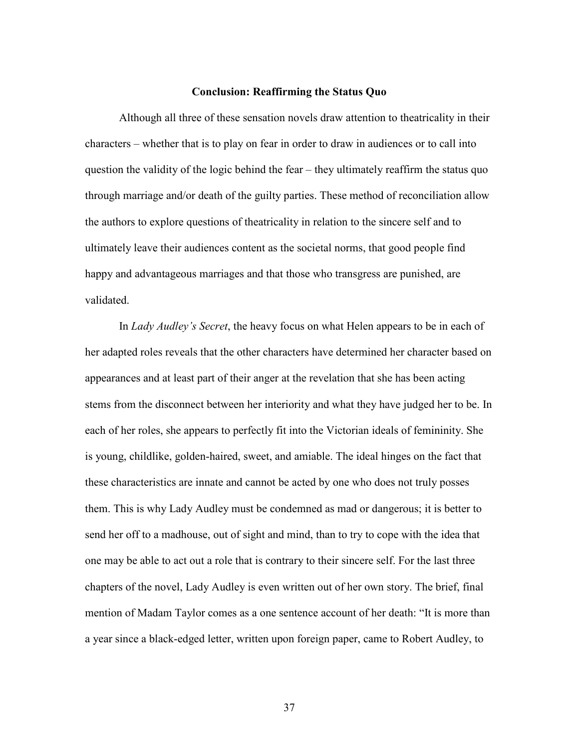#### **Conclusion: Reaffirming the Status Quo**

 Although all three of these sensation novels draw attention to theatricality in their characters – whether that is to play on fear in order to draw in audiences or to call into question the validity of the logic behind the fear – they ultimately reaffirm the status quo through marriage and/or death of the guilty parties. These method of reconciliation allow the authors to explore questions of theatricality in relation to the sincere self and to ultimately leave their audiences content as the societal norms, that good people find happy and advantageous marriages and that those who transgress are punished, are validated.

 In *Lady Audley's Secret*, the heavy focus on what Helen appears to be in each of her adapted roles reveals that the other characters have determined her character based on appearances and at least part of their anger at the revelation that she has been acting stems from the disconnect between her interiority and what they have judged her to be. In each of her roles, she appears to perfectly fit into the Victorian ideals of femininity. She is young, childlike, golden-haired, sweet, and amiable. The ideal hinges on the fact that these characteristics are innate and cannot be acted by one who does not truly posses them. This is why Lady Audley must be condemned as mad or dangerous; it is better to send her off to a madhouse, out of sight and mind, than to try to cope with the idea that one may be able to act out a role that is contrary to their sincere self. For the last three chapters of the novel, Lady Audley is even written out of her own story. The brief, final mention of Madam Taylor comes as a one sentence account of her death: "It is more than a year since a black-edged letter, written upon foreign paper, came to Robert Audley, to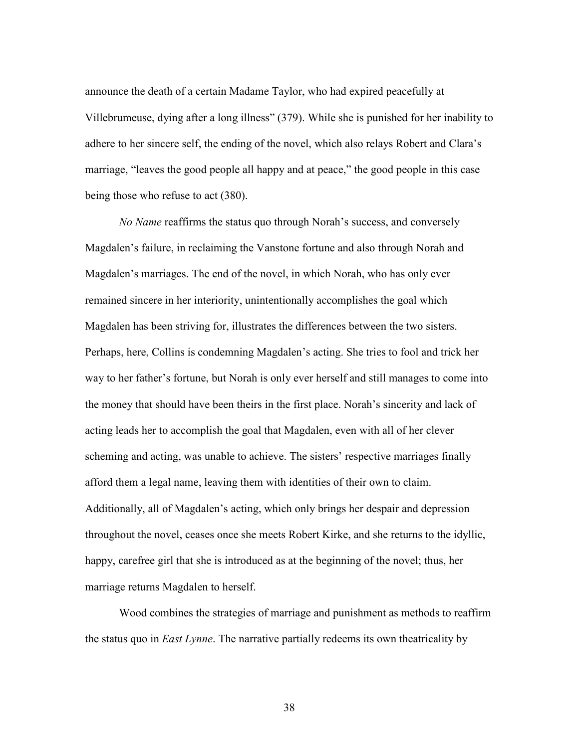announce the death of a certain Madame Taylor, who had expired peacefully at Villebrumeuse, dying after a long illness" (379). While she is punished for her inability to adhere to her sincere self, the ending of the novel, which also relays Robert and Clara's marriage, "leaves the good people all happy and at peace," the good people in this case being those who refuse to act (380).

*No Name* reaffirms the status quo through Norah's success, and conversely Magdalen's failure, in reclaiming the Vanstone fortune and also through Norah and Magdalen's marriages. The end of the novel, in which Norah, who has only ever remained sincere in her interiority, unintentionally accomplishes the goal which Magdalen has been striving for, illustrates the differences between the two sisters. Perhaps, here, Collins is condemning Magdalen's acting. She tries to fool and trick her way to her father's fortune, but Norah is only ever herself and still manages to come into the money that should have been theirs in the first place. Norah's sincerity and lack of acting leads her to accomplish the goal that Magdalen, even with all of her clever scheming and acting, was unable to achieve. The sisters' respective marriages finally afford them a legal name, leaving them with identities of their own to claim. Additionally, all of Magdalen's acting, which only brings her despair and depression throughout the novel, ceases once she meets Robert Kirke, and she returns to the idyllic, happy, carefree girl that she is introduced as at the beginning of the novel; thus, her marriage returns Magdalen to herself.

Wood combines the strategies of marriage and punishment as methods to reaffirm the status quo in *East Lynne*. The narrative partially redeems its own theatricality by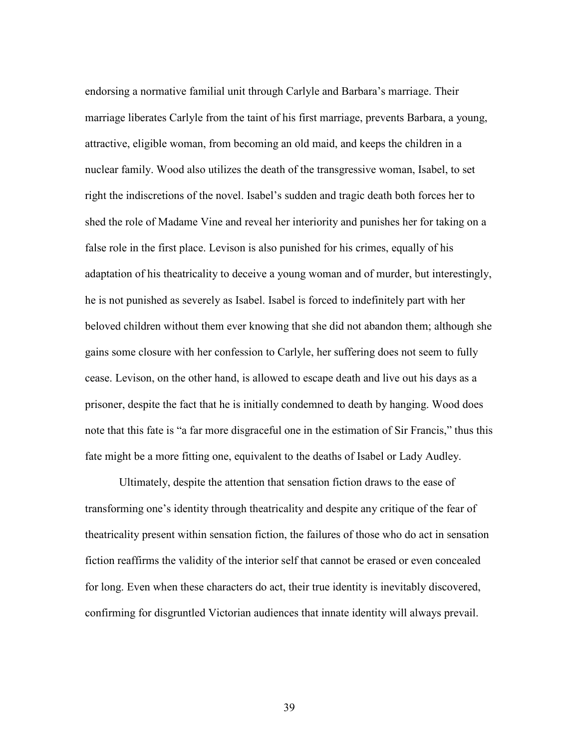endorsing a normative familial unit through Carlyle and Barbara's marriage. Their marriage liberates Carlyle from the taint of his first marriage, prevents Barbara, a young, attractive, eligible woman, from becoming an old maid, and keeps the children in a nuclear family. Wood also utilizes the death of the transgressive woman, Isabel, to set right the indiscretions of the novel. Isabel's sudden and tragic death both forces her to shed the role of Madame Vine and reveal her interiority and punishes her for taking on a false role in the first place. Levison is also punished for his crimes, equally of his adaptation of his theatricality to deceive a young woman and of murder, but interestingly, he is not punished as severely as Isabel. Isabel is forced to indefinitely part with her beloved children without them ever knowing that she did not abandon them; although she gains some closure with her confession to Carlyle, her suffering does not seem to fully cease. Levison, on the other hand, is allowed to escape death and live out his days as a prisoner, despite the fact that he is initially condemned to death by hanging. Wood does note that this fate is "a far more disgraceful one in the estimation of Sir Francis," thus this fate might be a more fitting one, equivalent to the deaths of Isabel or Lady Audley.

Ultimately, despite the attention that sensation fiction draws to the ease of transforming one's identity through theatricality and despite any critique of the fear of theatricality present within sensation fiction, the failures of those who do act in sensation fiction reaffirms the validity of the interior self that cannot be erased or even concealed for long. Even when these characters do act, their true identity is inevitably discovered, confirming for disgruntled Victorian audiences that innate identity will always prevail.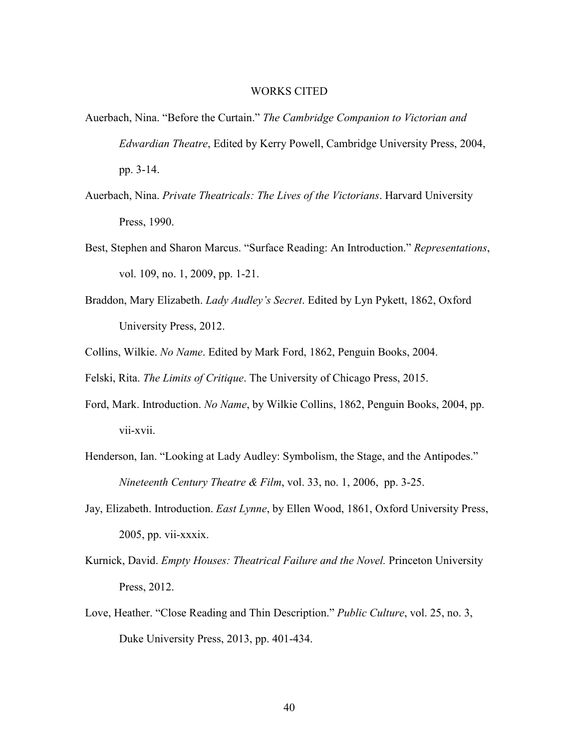#### WORKS CITED

- Auerbach, Nina. "Before the Curtain." *The Cambridge Companion to Victorian and Edwardian Theatre*, Edited by Kerry Powell, Cambridge University Press, 2004, pp. 3-14.
- Auerbach, Nina. *Private Theatricals: The Lives of the Victorians*. Harvard University Press, 1990.
- Best, Stephen and Sharon Marcus. "Surface Reading: An Introduction." *Representations*, vol. 109, no. 1, 2009, pp. 1-21.
- Braddon, Mary Elizabeth. *Lady Audley's Secret*. Edited by Lyn Pykett, 1862, Oxford University Press, 2012.
- Collins, Wilkie. *No Name*. Edited by Mark Ford, 1862, Penguin Books, 2004.

Felski, Rita. *The Limits of Critique*. The University of Chicago Press, 2015.

- Ford, Mark. Introduction. *No Name*, by Wilkie Collins, 1862, Penguin Books, 2004, pp. vii-xvii.
- Henderson, Ian. "Looking at Lady Audley: Symbolism, the Stage, and the Antipodes." *Nineteenth Century Theatre & Film*, vol. 33, no. 1, 2006, pp. 3-25.
- Jay, Elizabeth. Introduction. *East Lynne*, by Ellen Wood, 1861, Oxford University Press, 2005, pp. vii-xxxix.
- Kurnick, David. *Empty Houses: Theatrical Failure and the Novel.* Princeton University Press, 2012.
- Love, Heather. "Close Reading and Thin Description." *Public Culture*, vol. 25, no. 3, Duke University Press, 2013, pp. 401-434.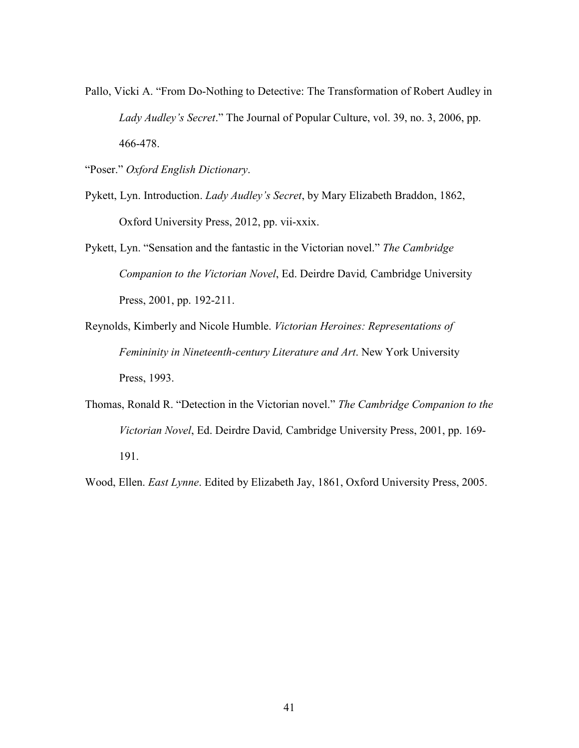- Pallo, Vicki A. "From Do-Nothing to Detective: The Transformation of Robert Audley in *Lady Audley's Secret*." The Journal of Popular Culture, vol. 39, no. 3, 2006, pp. 466-478.
- "Poser." *Oxford English Dictionary*.
- Pykett, Lyn. Introduction. *Lady Audley's Secret*, by Mary Elizabeth Braddon, 1862, Oxford University Press, 2012, pp. vii-xxix.
- Pykett, Lyn. "Sensation and the fantastic in the Victorian novel." *The Cambridge Companion to the Victorian Novel*, Ed. Deirdre David*,* Cambridge University Press, 2001, pp. 192-211.
- Reynolds, Kimberly and Nicole Humble. *Victorian Heroines: Representations of Femininity in Nineteenth-century Literature and Art*. New York University Press, 1993.
- Thomas, Ronald R. "Detection in the Victorian novel." *The Cambridge Companion to the Victorian Novel*, Ed. Deirdre David*,* Cambridge University Press, 2001, pp. 169- 191.

Wood, Ellen. *East Lynne*. Edited by Elizabeth Jay, 1861, Oxford University Press, 2005.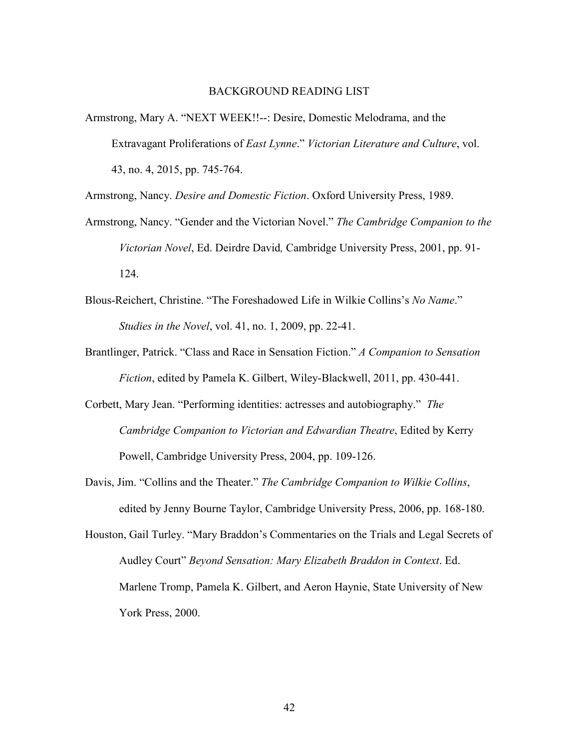#### BACKGROUND READING LIST

Armstrong, Mary A. "NEXT WEEK!!--: Desire, Domestic Melodrama, and the Extravagant Proliferations of *East Lynne*." *Victorian Literature and Culture*, vol. 43, no. 4, 2015, pp. 745-764.

Armstrong, Nancy. *Desire and Domestic Fiction*. Oxford University Press, 1989.

- Armstrong, Nancy. "Gender and the Victorian Novel." *The Cambridge Companion to the Victorian Novel*, Ed. Deirdre David*,* Cambridge University Press, 2001, pp. 91- 124.
- Blous-Reichert, Christine. "The Foreshadowed Life in Wilkie Collins's *No Name*." *Studies in the Novel*, vol. 41, no. 1, 2009, pp. 22-41.
- Brantlinger, Patrick. "Class and Race in Sensation Fiction." *A Companion to Sensation Fiction*, edited by Pamela K. Gilbert, Wiley-Blackwell, 2011, pp. 430-441.
- Corbett, Mary Jean. "Performing identities: actresses and autobiography." *The Cambridge Companion to Victorian and Edwardian Theatre*, Edited by Kerry Powell, Cambridge University Press, 2004, pp. 109-126.
- Davis, Jim. "Collins and the Theater." *The Cambridge Companion to Wilkie Collins*, edited by Jenny Bourne Taylor, Cambridge University Press, 2006, pp. 168-180.
- Houston, Gail Turley. "Mary Braddon's Commentaries on the Trials and Legal Secrets of Audley Court" *Beyond Sensation: Mary Elizabeth Braddon in Context*. Ed. Marlene Tromp, Pamela K. Gilbert, and Aeron Haynie, State University of New York Press, 2000.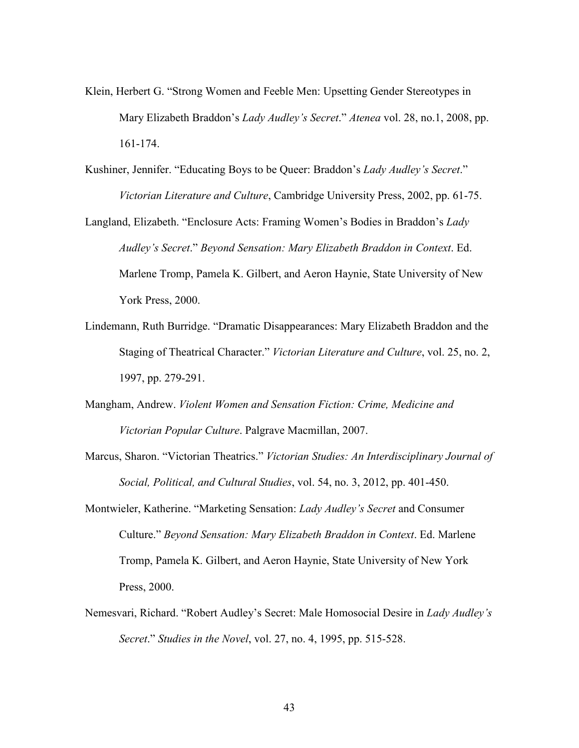- Klein, Herbert G. "Strong Women and Feeble Men: Upsetting Gender Stereotypes in Mary Elizabeth Braddon's *Lady Audley's Secret*." *Atenea* vol. 28, no.1, 2008, pp. 161-174.
- Kushiner, Jennifer. "Educating Boys to be Queer: Braddon's *Lady Audley's Secret*." *Victorian Literature and Culture*, Cambridge University Press, 2002, pp. 61-75.
- Langland, Elizabeth. "Enclosure Acts: Framing Women's Bodies in Braddon's *Lady Audley's Secret*." *Beyond Sensation: Mary Elizabeth Braddon in Context*. Ed. Marlene Tromp, Pamela K. Gilbert, and Aeron Haynie, State University of New York Press, 2000.
- Lindemann, Ruth Burridge. "Dramatic Disappearances: Mary Elizabeth Braddon and the Staging of Theatrical Character." *Victorian Literature and Culture*, vol. 25, no. 2, 1997, pp. 279-291.
- Mangham, Andrew. *Violent Women and Sensation Fiction: Crime, Medicine and Victorian Popular Culture*. Palgrave Macmillan, 2007.
- Marcus, Sharon. "Victorian Theatrics." *Victorian Studies: An Interdisciplinary Journal of Social, Political, and Cultural Studies*, vol. 54, no. 3, 2012, pp. 401-450.
- Montwieler, Katherine. "Marketing Sensation: *Lady Audley's Secret* and Consumer Culture." *Beyond Sensation: Mary Elizabeth Braddon in Context*. Ed. Marlene Tromp, Pamela K. Gilbert, and Aeron Haynie, State University of New York Press, 2000.
- Nemesvari, Richard. "Robert Audley's Secret: Male Homosocial Desire in *Lady Audley's Secret*." *Studies in the Novel*, vol. 27, no. 4, 1995, pp. 515-528.